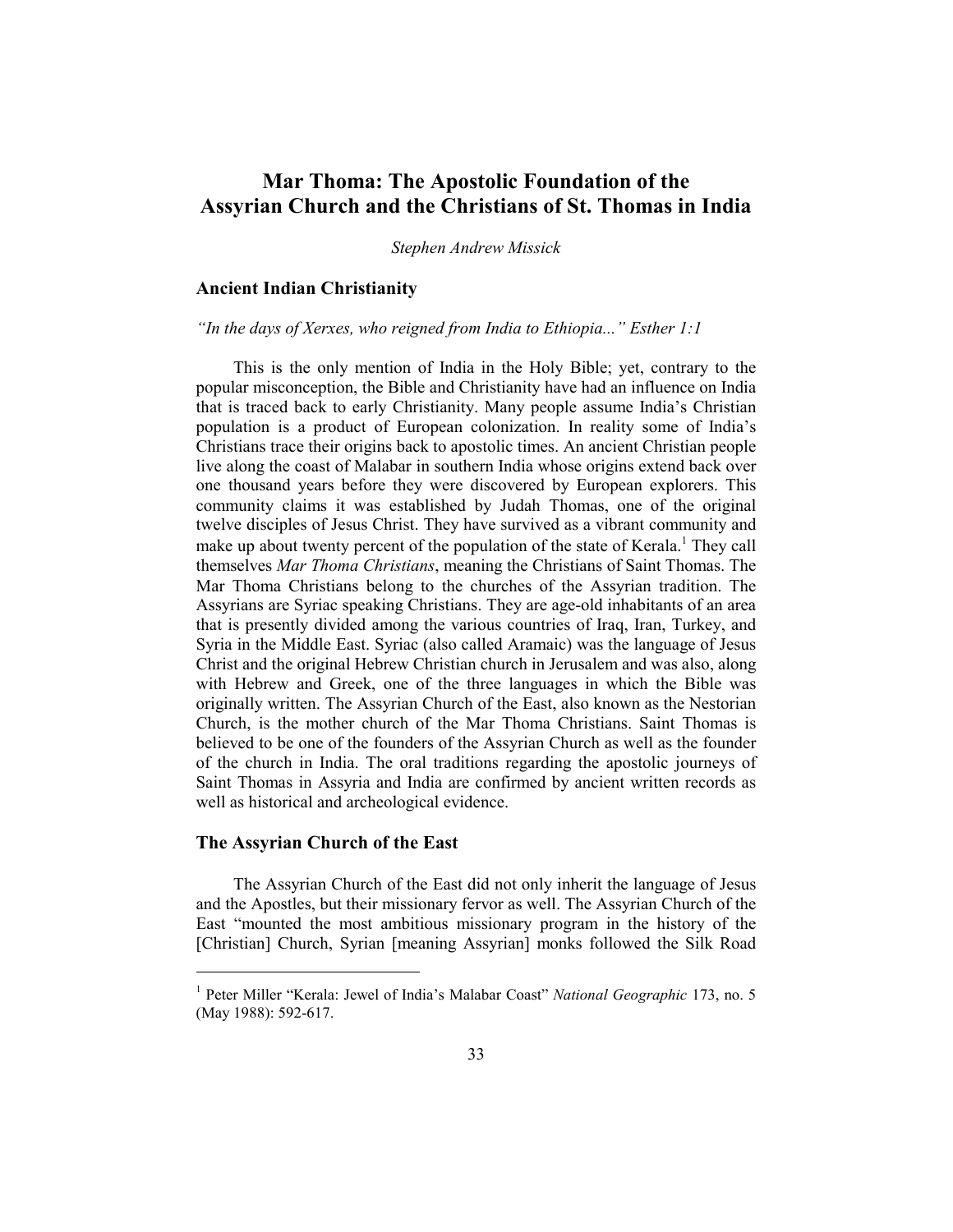# **Mar Thoma: The Apostolic Foundation of the Assyrian Church and the Christians of St. Thomas in India**

*Stephen Andrew Missick* 

#### **Ancient Indian Christianity**

## *"In the days of Xerxes, who reigned from India to Ethiopia..." Esther 1:1*

 This is the only mention of India in the Holy Bible; yet, contrary to the popular misconception, the Bible and Christianity have had an influence on India that is traced back to early Christianity. Many people assume India's Christian population is a product of European colonization. In reality some of India's Christians trace their origins back to apostolic times. An ancient Christian people live along the coast of Malabar in southern India whose origins extend back over one thousand years before they were discovered by European explorers. This community claims it was established by Judah Thomas, one of the original twelve disciples of Jesus Christ. They have survived as a vibrant community and make up about twenty percent of the population of the state of Kerala.<sup>1</sup> They call themselves *Mar Thoma Christians*, meaning the Christians of Saint Thomas. The Mar Thoma Christians belong to the churches of the Assyrian tradition. The Assyrians are Syriac speaking Christians. They are age-old inhabitants of an area that is presently divided among the various countries of Iraq, Iran, Turkey, and Syria in the Middle East. Syriac (also called Aramaic) was the language of Jesus Christ and the original Hebrew Christian church in Jerusalem and was also, along with Hebrew and Greek, one of the three languages in which the Bible was originally written. The Assyrian Church of the East, also known as the Nestorian Church, is the mother church of the Mar Thoma Christians. Saint Thomas is believed to be one of the founders of the Assyrian Church as well as the founder of the church in India. The oral traditions regarding the apostolic journeys of Saint Thomas in Assyria and India are confirmed by ancient written records as well as historical and archeological evidence.

## **The Assyrian Church of the East**

 $\overline{a}$ 

The Assyrian Church of the East did not only inherit the language of Jesus and the Apostles, but their missionary fervor as well. The Assyrian Church of the East "mounted the most ambitious missionary program in the history of the [Christian] Church, Syrian [meaning Assyrian] monks followed the Silk Road

<sup>&</sup>lt;sup>1</sup> Peter Miller "Kerala: Jewel of India's Malabar Coast" *National Geographic* 173, no. 5 (May 1988): 592-617.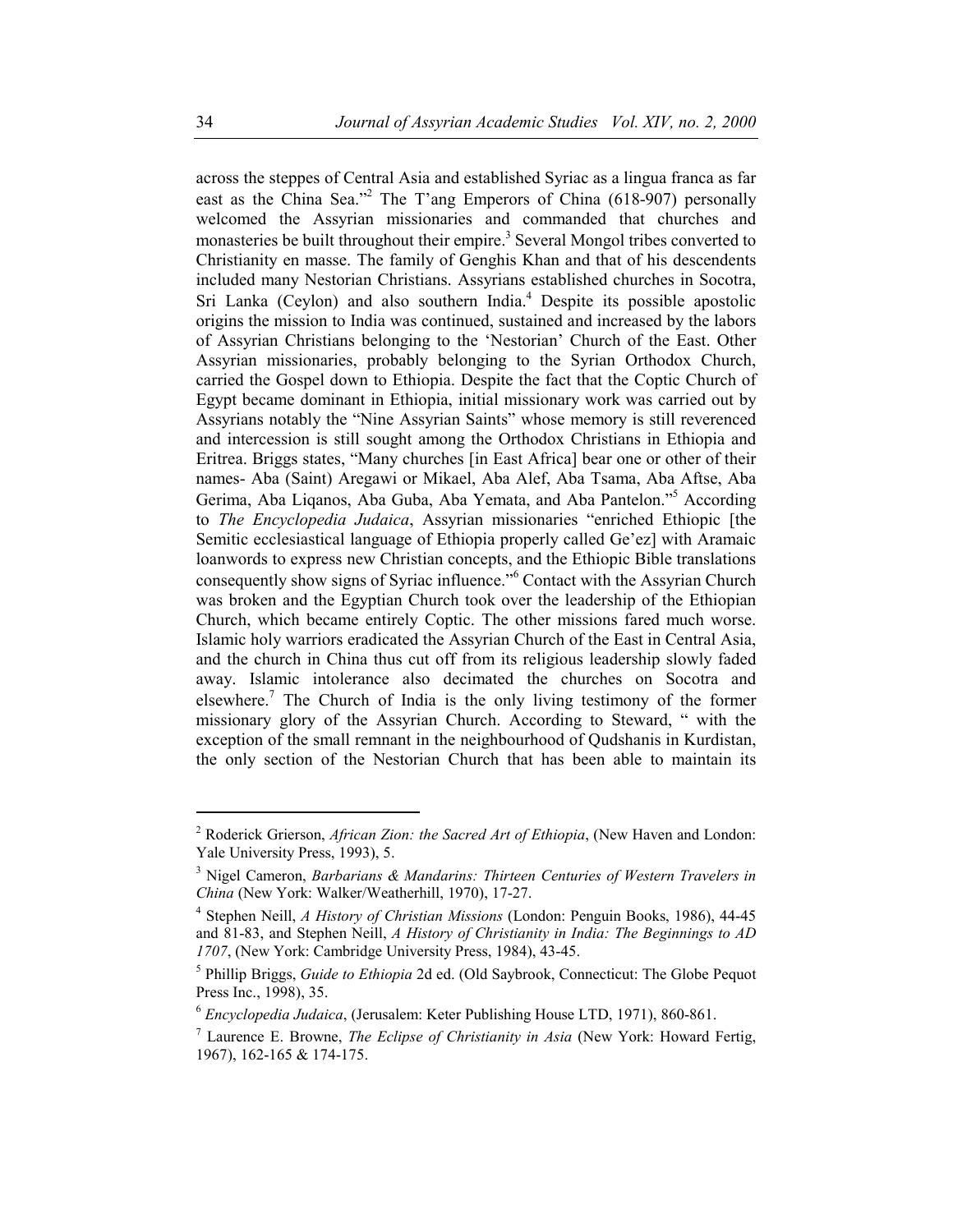across the steppes of Central Asia and established Syriac as a lingua franca as far east as the China Sea."<sup>2</sup> The T'ang Emperors of China (618-907) personally welcomed the Assyrian missionaries and commanded that churches and monasteries be built throughout their empire.<sup>3</sup> Several Mongol tribes converted to Christianity en masse. The family of Genghis Khan and that of his descendents included many Nestorian Christians. Assyrians established churches in Socotra, Sri Lanka (Ceylon) and also southern India.<sup>4</sup> Despite its possible apostolic origins the mission to India was continued, sustained and increased by the labors of Assyrian Christians belonging to the 'Nestorian' Church of the East. Other Assyrian missionaries, probably belonging to the Syrian Orthodox Church, carried the Gospel down to Ethiopia. Despite the fact that the Coptic Church of Egypt became dominant in Ethiopia, initial missionary work was carried out by Assyrians notably the "Nine Assyrian Saints" whose memory is still reverenced and intercession is still sought among the Orthodox Christians in Ethiopia and Eritrea. Briggs states, "Many churches [in East Africa] bear one or other of their names- Aba (Saint) Aregawi or Mikael, Aba Alef, Aba Tsama, Aba Aftse, Aba Gerima, Aba Liqanos, Aba Guba, Aba Yemata, and Aba Pantelon."5 According to *The Encyclopedia Judaica*, Assyrian missionaries "enriched Ethiopic [the Semitic ecclesiastical language of Ethiopia properly called Ge'ez] with Aramaic loanwords to express new Christian concepts, and the Ethiopic Bible translations consequently show signs of Syriac influence."<sup>6</sup> Contact with the Assyrian Church was broken and the Egyptian Church took over the leadership of the Ethiopian Church, which became entirely Coptic. The other missions fared much worse. Islamic holy warriors eradicated the Assyrian Church of the East in Central Asia, and the church in China thus cut off from its religious leadership slowly faded away. Islamic intolerance also decimated the churches on Socotra and elsewhere.<sup>7</sup> The Church of India is the only living testimony of the former missionary glory of the Assyrian Church. According to Steward, " with the exception of the small remnant in the neighbourhood of Qudshanis in Kurdistan, the only section of the Nestorian Church that has been able to maintain its

<sup>2</sup> Roderick Grierson, *African Zion: the Sacred Art of Ethiopia*, (New Haven and London: Yale University Press, 1993), 5.

<sup>&</sup>lt;sup>3</sup> Nigel Cameron, *Barbarians & Mandarins: Thirteen Centuries of Western Travelers in China* (New York: Walker/Weatherhill, 1970), 17-27. 4

Stephen Neill, *A History of Christian Missions* (London: Penguin Books, 1986), 44-45 and 81-83, and Stephen Neill, *A History of Christianity in India: The Beginnings to AD 1707*, (New York: Cambridge University Press, 1984), 43-45.

<sup>5</sup> Phillip Briggs, *Guide to Ethiopia* 2d ed. (Old Saybrook, Connecticut: The Globe Pequot Press Inc., 1998), 35.

<sup>6</sup> *Encyclopedia Judaica*, (Jerusalem: Keter Publishing House LTD, 1971), 860-861. 7

Laurence E. Browne, *The Eclipse of Christianity in Asia* (New York: Howard Fertig, 1967), 162-165 & 174-175.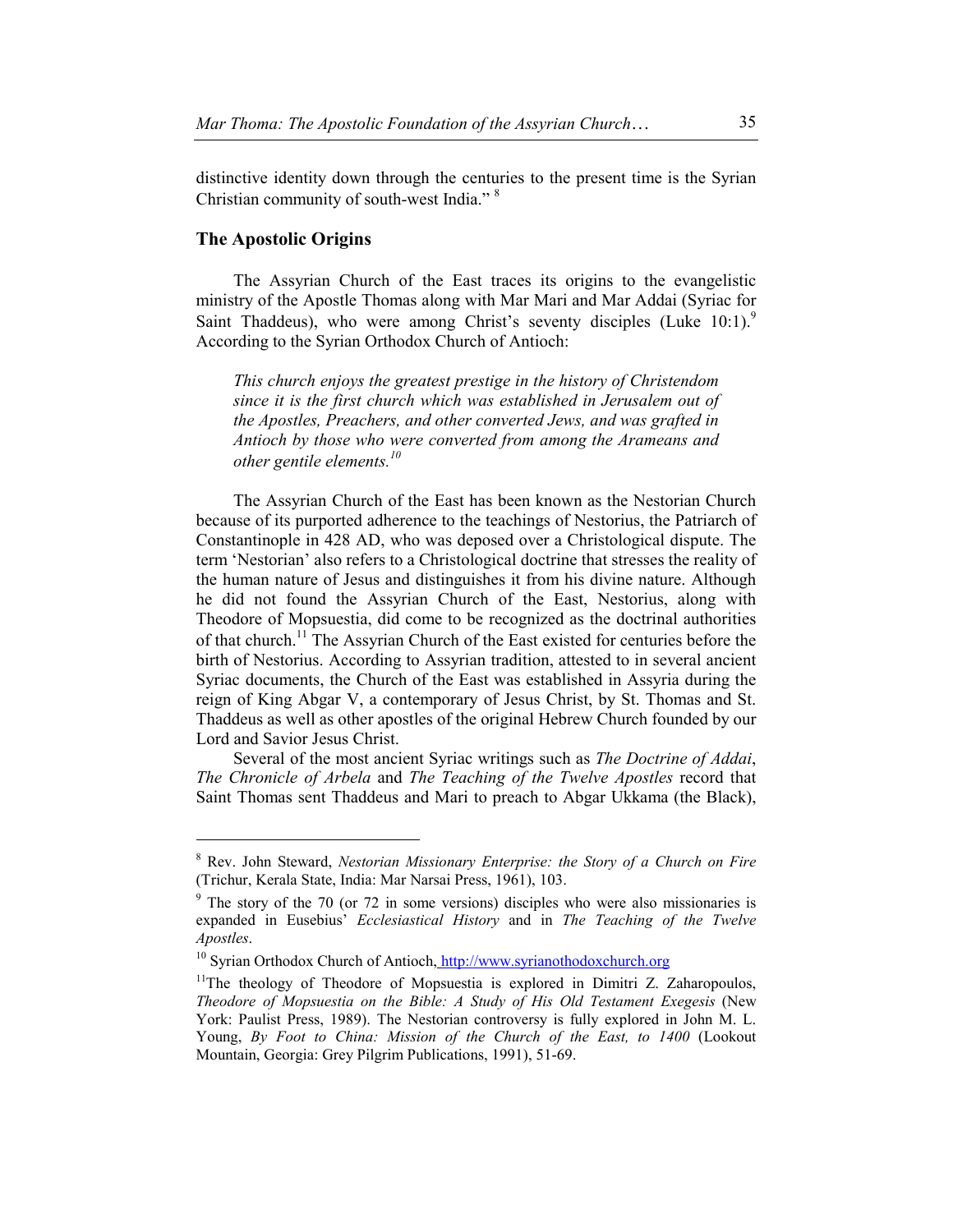distinctive identity down through the centuries to the present time is the Syrian Christian community of south-west India." <sup>8</sup>

## **The Apostolic Origins**

 $\overline{a}$ 

The Assyrian Church of the East traces its origins to the evangelistic ministry of the Apostle Thomas along with Mar Mari and Mar Addai (Syriac for Saint Thaddeus), who were among Christ's seventy disciples (Luke  $10:1$ ).<sup>9</sup> According to the Syrian Orthodox Church of Antioch:

*This church enjoys the greatest prestige in the history of Christendom since it is the first church which was established in Jerusalem out of the Apostles, Preachers, and other converted Jews, and was grafted in Antioch by those who were converted from among the Arameans and other gentile elements.<sup>10</sup>*

 The Assyrian Church of the East has been known as the Nestorian Church because of its purported adherence to the teachings of Nestorius, the Patriarch of Constantinople in 428 AD, who was deposed over a Christological dispute. The term 'Nestorian' also refers to a Christological doctrine that stresses the reality of the human nature of Jesus and distinguishes it from his divine nature. Although he did not found the Assyrian Church of the East, Nestorius, along with Theodore of Mopsuestia, did come to be recognized as the doctrinal authorities of that church.<sup>11</sup> The Assyrian Church of the East existed for centuries before the birth of Nestorius. According to Assyrian tradition, attested to in several ancient Syriac documents, the Church of the East was established in Assyria during the reign of King Abgar V, a contemporary of Jesus Christ, by St. Thomas and St. Thaddeus as well as other apostles of the original Hebrew Church founded by our Lord and Savior Jesus Christ.

Several of the most ancient Syriac writings such as *The Doctrine of Addai*, *The Chronicle of Arbela* and *The Teaching of the Twelve Apostles* record that Saint Thomas sent Thaddeus and Mari to preach to Abgar Ukkama (the Black),

<sup>8</sup> Rev. John Steward, *Nestorian Missionary Enterprise: the Story of a Church on Fire* (Trichur, Kerala State, India: Mar Narsai Press, 1961), 103.

 $9$  The story of the 70 (or 72 in some versions) disciples who were also missionaries is expanded in Eusebius' *Ecclesiastical History* and in *The Teaching of the Twelve Apostles*.<br><sup>10</sup> Syrian Orthodox Church of Antioch, http://www.syrianothodoxchurch.org

<sup>&</sup>lt;sup>11</sup>The theology of Theodore of Mopsuestia is explored in Dimitri Z. Zaharopoulos, *Theodore of Mopsuestia on the Bible: A Study of His Old Testament Exegesis* (New York: Paulist Press, 1989). The Nestorian controversy is fully explored in John M. L. Young, *By Foot to China: Mission of the Church of the East, to 1400* (Lookout Mountain, Georgia: Grey Pilgrim Publications, 1991), 51-69.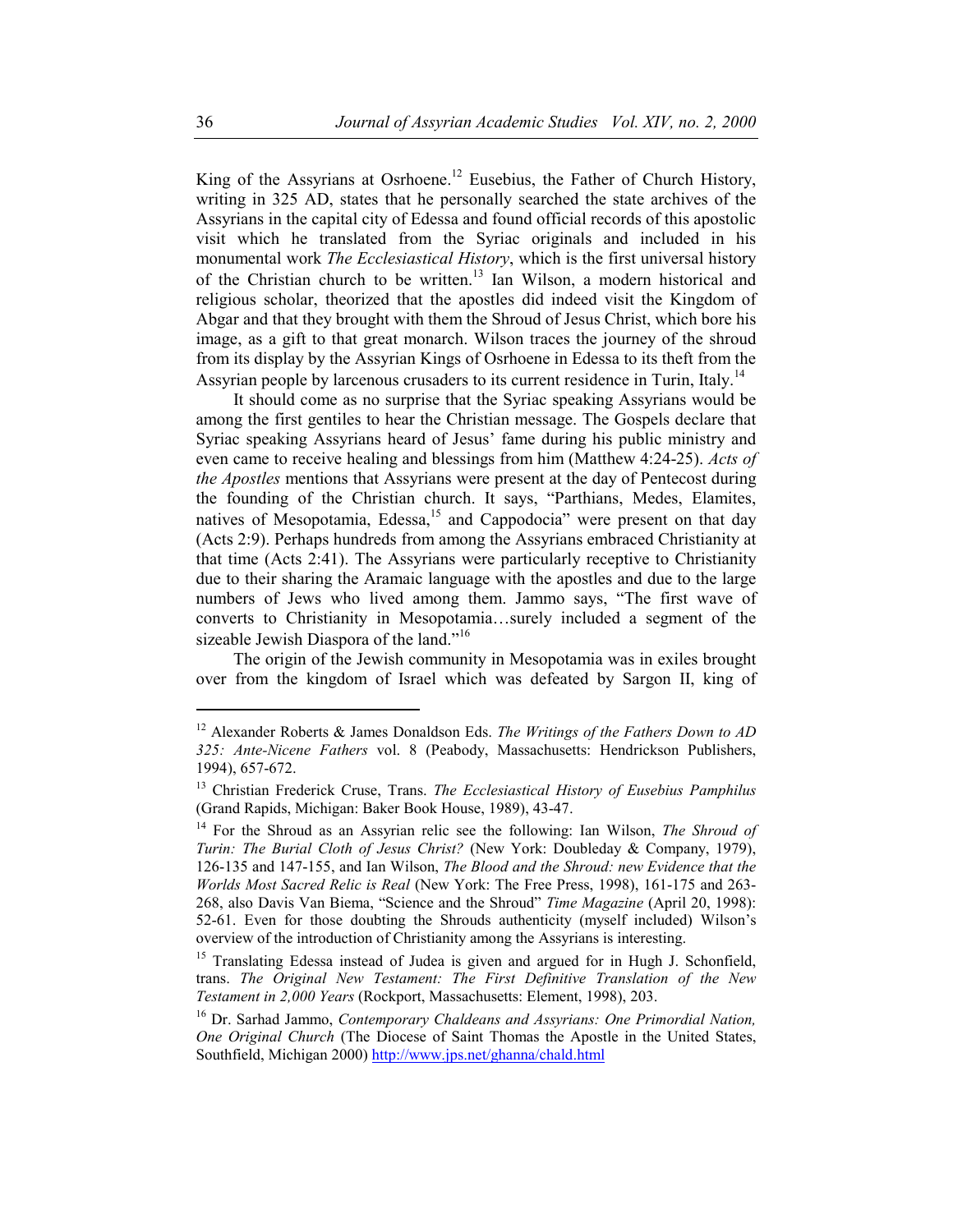King of the Assyrians at Osrhoene.<sup>12</sup> Eusebius, the Father of Church History, writing in 325 AD, states that he personally searched the state archives of the Assyrians in the capital city of Edessa and found official records of this apostolic visit which he translated from the Syriac originals and included in his monumental work *The Ecclesiastical History*, which is the first universal history of the Christian church to be written.13 Ian Wilson, a modern historical and religious scholar, theorized that the apostles did indeed visit the Kingdom of Abgar and that they brought with them the Shroud of Jesus Christ, which bore his image, as a gift to that great monarch. Wilson traces the journey of the shroud from its display by the Assyrian Kings of Osrhoene in Edessa to its theft from the Assyrian people by larcenous crusaders to its current residence in Turin, Italy.<sup>14</sup>

It should come as no surprise that the Syriac speaking Assyrians would be among the first gentiles to hear the Christian message. The Gospels declare that Syriac speaking Assyrians heard of Jesus' fame during his public ministry and even came to receive healing and blessings from him (Matthew 4:24-25). *Acts of the Apostles* mentions that Assyrians were present at the day of Pentecost during the founding of the Christian church. It says, "Parthians, Medes, Elamites, natives of Mesopotamia, Edessa,<sup>15</sup> and Cappodocia" were present on that day (Acts 2:9). Perhaps hundreds from among the Assyrians embraced Christianity at that time (Acts 2:41). The Assyrians were particularly receptive to Christianity due to their sharing the Aramaic language with the apostles and due to the large numbers of Jews who lived among them. Jammo says, "The first wave of converts to Christianity in Mesopotamia…surely included a segment of the sizeable Jewish Diaspora of the land."<sup>16</sup>

 The origin of the Jewish community in Mesopotamia was in exiles brought over from the kingdom of Israel which was defeated by Sargon II, king of

<sup>12</sup> Alexander Roberts & James Donaldson Eds. *The Writings of the Fathers Down to AD 325: Ante-Nicene Fathers* vol. 8 (Peabody, Massachusetts: Hendrickson Publishers, 1994), 657-672.

<sup>13</sup> Christian Frederick Cruse, Trans. *The Ecclesiastical History of Eusebius Pamphilus* (Grand Rapids, Michigan: Baker Book House, 1989), 43-47.

<sup>14</sup> For the Shroud as an Assyrian relic see the following: Ian Wilson, *The Shroud of Turin: The Burial Cloth of Jesus Christ?* (New York: Doubleday & Company, 1979), 126-135 and 147-155, and Ian Wilson, *The Blood and the Shroud: new Evidence that the Worlds Most Sacred Relic is Real* (New York: The Free Press, 1998), 161-175 and 263- 268, also Davis Van Biema, "Science and the Shroud" *Time Magazine* (April 20, 1998): 52-61. Even for those doubting the Shrouds authenticity (myself included) Wilson's overview of the introduction of Christianity among the Assyrians is interesting.

<sup>&</sup>lt;sup>15</sup> Translating Edessa instead of Judea is given and argued for in Hugh J. Schonfield, trans. *The Original New Testament: The First Definitive Translation of the New Testament in 2,000 Years* (Rockport, Massachusetts: Element, 1998), 203.

<sup>16</sup> Dr. Sarhad Jammo, *Contemporary Chaldeans and Assyrians: One Primordial Nation, One Original Church* (The Diocese of Saint Thomas the Apostle in the United States, Southfield, Michigan 2000) http://www.jps.net/ghanna/chald.html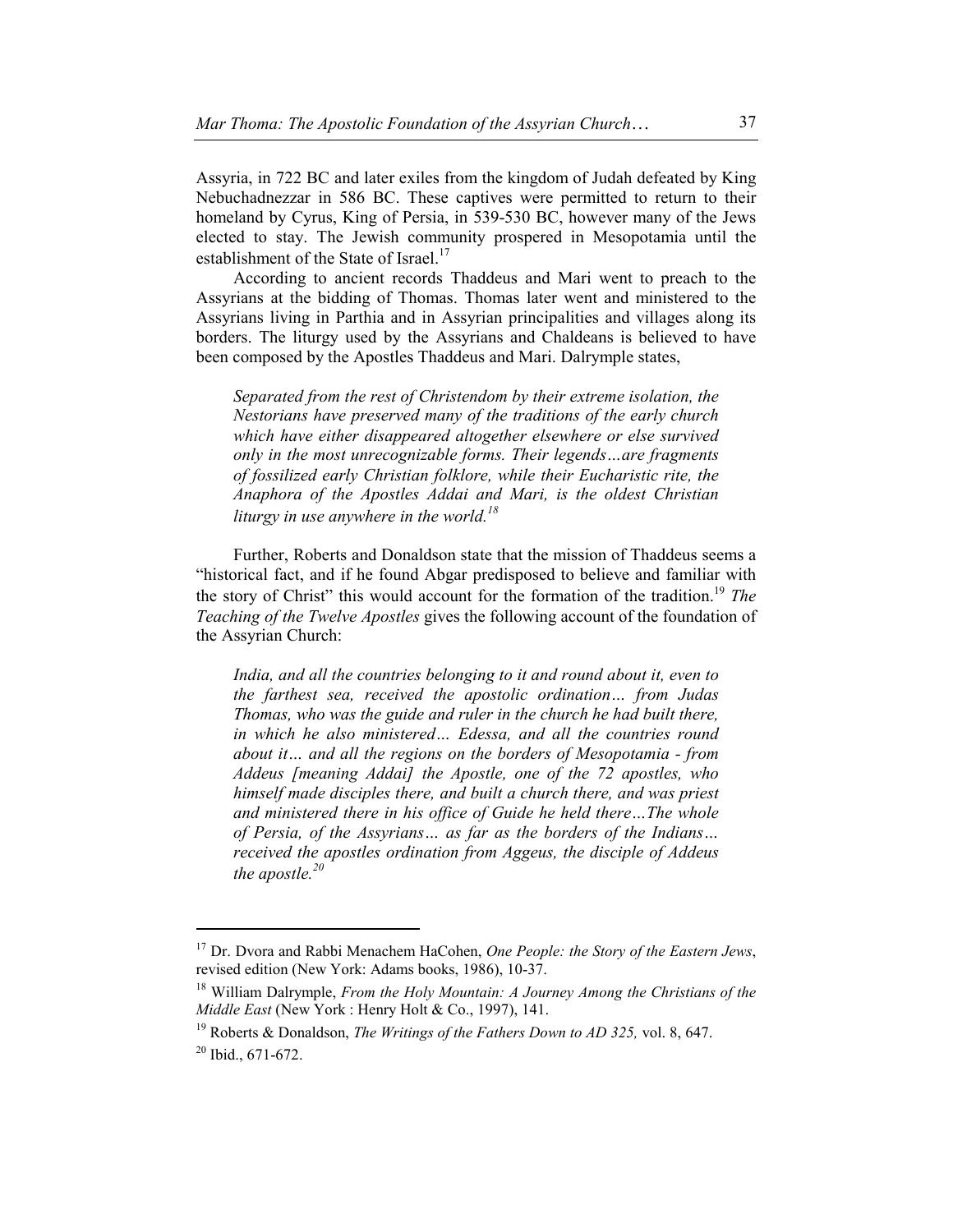Assyria, in 722 BC and later exiles from the kingdom of Judah defeated by King Nebuchadnezzar in 586 BC. These captives were permitted to return to their homeland by Cyrus, King of Persia, in 539-530 BC, however many of the Jews elected to stay. The Jewish community prospered in Mesopotamia until the establishment of the State of Israel.<sup>17</sup>

According to ancient records Thaddeus and Mari went to preach to the Assyrians at the bidding of Thomas. Thomas later went and ministered to the Assyrians living in Parthia and in Assyrian principalities and villages along its borders. The liturgy used by the Assyrians and Chaldeans is believed to have been composed by the Apostles Thaddeus and Mari. Dalrymple states,

*Separated from the rest of Christendom by their extreme isolation, the Nestorians have preserved many of the traditions of the early church which have either disappeared altogether elsewhere or else survived only in the most unrecognizable forms. Their legends…are fragments of fossilized early Christian folklore, while their Eucharistic rite, the Anaphora of the Apostles Addai and Mari, is the oldest Christian liturgy in use anywhere in the world.<sup>18</sup>*

 Further, Roberts and Donaldson state that the mission of Thaddeus seems a "historical fact, and if he found Abgar predisposed to believe and familiar with the story of Christ" this would account for the formation of the tradition.19 *The Teaching of the Twelve Apostles* gives the following account of the foundation of the Assyrian Church:

*India, and all the countries belonging to it and round about it, even to the farthest sea, received the apostolic ordination… from Judas Thomas, who was the guide and ruler in the church he had built there, in which he also ministered… Edessa, and all the countries round about it… and all the regions on the borders of Mesopotamia - from Addeus [meaning Addai] the Apostle, one of the 72 apostles, who himself made disciples there, and built a church there, and was priest and ministered there in his office of Guide he held there…The whole of Persia, of the Assyrians… as far as the borders of the Indians… received the apostles ordination from Aggeus, the disciple of Addeus the apostle.20* 

<sup>17</sup> Dr. Dvora and Rabbi Menachem HaCohen, *One People: the Story of the Eastern Jews*, revised edition (New York: Adams books, 1986), 10-37.

<sup>&</sup>lt;sup>18</sup> William Dalrymple, *From the Holy Mountain: A Journey Among the Christians of the Middle East* (New York : Henry Holt & Co., 1997), 141.

<sup>&</sup>lt;sup>19</sup> Roberts & Donaldson, *The Writings of the Fathers Down to AD 325*, vol. 8, 647. <sup>20</sup> Ibid., 671-672.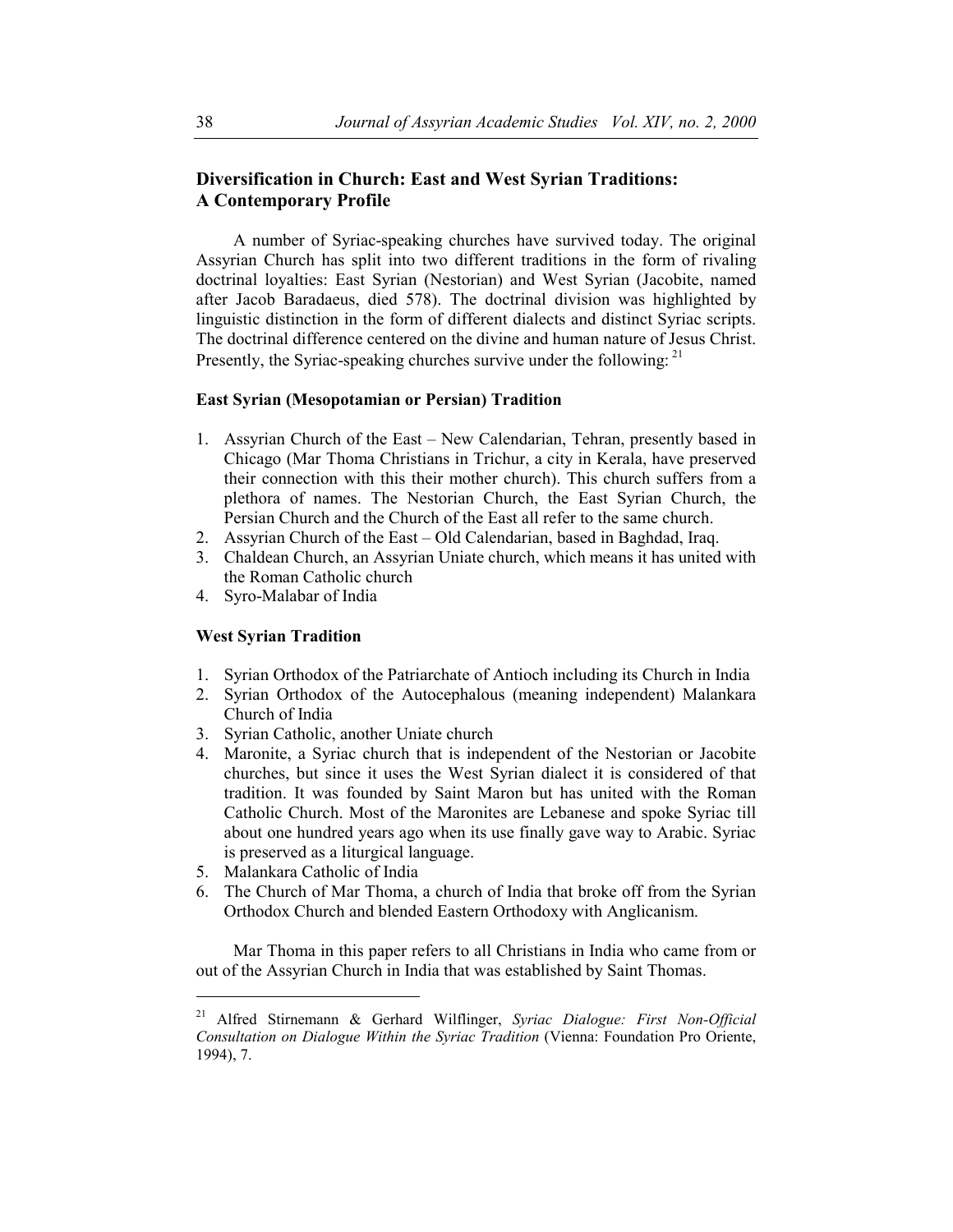# **Diversification in Church: East and West Syrian Traditions: A Contemporary Profile**

A number of Syriac-speaking churches have survived today. The original Assyrian Church has split into two different traditions in the form of rivaling doctrinal loyalties: East Syrian (Nestorian) and West Syrian (Jacobite, named after Jacob Baradaeus, died 578). The doctrinal division was highlighted by linguistic distinction in the form of different dialects and distinct Syriac scripts. The doctrinal difference centered on the divine and human nature of Jesus Christ. Presently, the Syriac-speaking churches survive under the following:  $21$ 

### **East Syrian (Mesopotamian or Persian) Tradition**

- 1. Assyrian Church of the East New Calendarian, Tehran, presently based in Chicago (Mar Thoma Christians in Trichur, a city in Kerala, have preserved their connection with this their mother church). This church suffers from a plethora of names. The Nestorian Church, the East Syrian Church, the Persian Church and the Church of the East all refer to the same church.
- 2. Assyrian Church of the East Old Calendarian, based in Baghdad, Iraq.
- 3. Chaldean Church, an Assyrian Uniate church, which means it has united with the Roman Catholic church
- 4. Syro-Malabar of India

## **West Syrian Tradition**

- 1. Syrian Orthodox of the Patriarchate of Antioch including its Church in India
- 2. Syrian Orthodox of the Autocephalous (meaning independent) Malankara Church of India
- 3. Syrian Catholic, another Uniate church
- 4. Maronite, a Syriac church that is independent of the Nestorian or Jacobite churches, but since it uses the West Syrian dialect it is considered of that tradition. It was founded by Saint Maron but has united with the Roman Catholic Church. Most of the Maronites are Lebanese and spoke Syriac till about one hundred years ago when its use finally gave way to Arabic. Syriac is preserved as a liturgical language.
- 5. Malankara Catholic of India

 $\overline{a}$ 

6. The Church of Mar Thoma, a church of India that broke off from the Syrian Orthodox Church and blended Eastern Orthodoxy with Anglicanism.

 Mar Thoma in this paper refers to all Christians in India who came from or out of the Assyrian Church in India that was established by Saint Thomas.

<sup>21</sup> Alfred Stirnemann & Gerhard Wilflinger, *Syriac Dialogue: First Non-Official Consultation on Dialogue Within the Syriac Tradition* (Vienna: Foundation Pro Oriente, 1994), 7.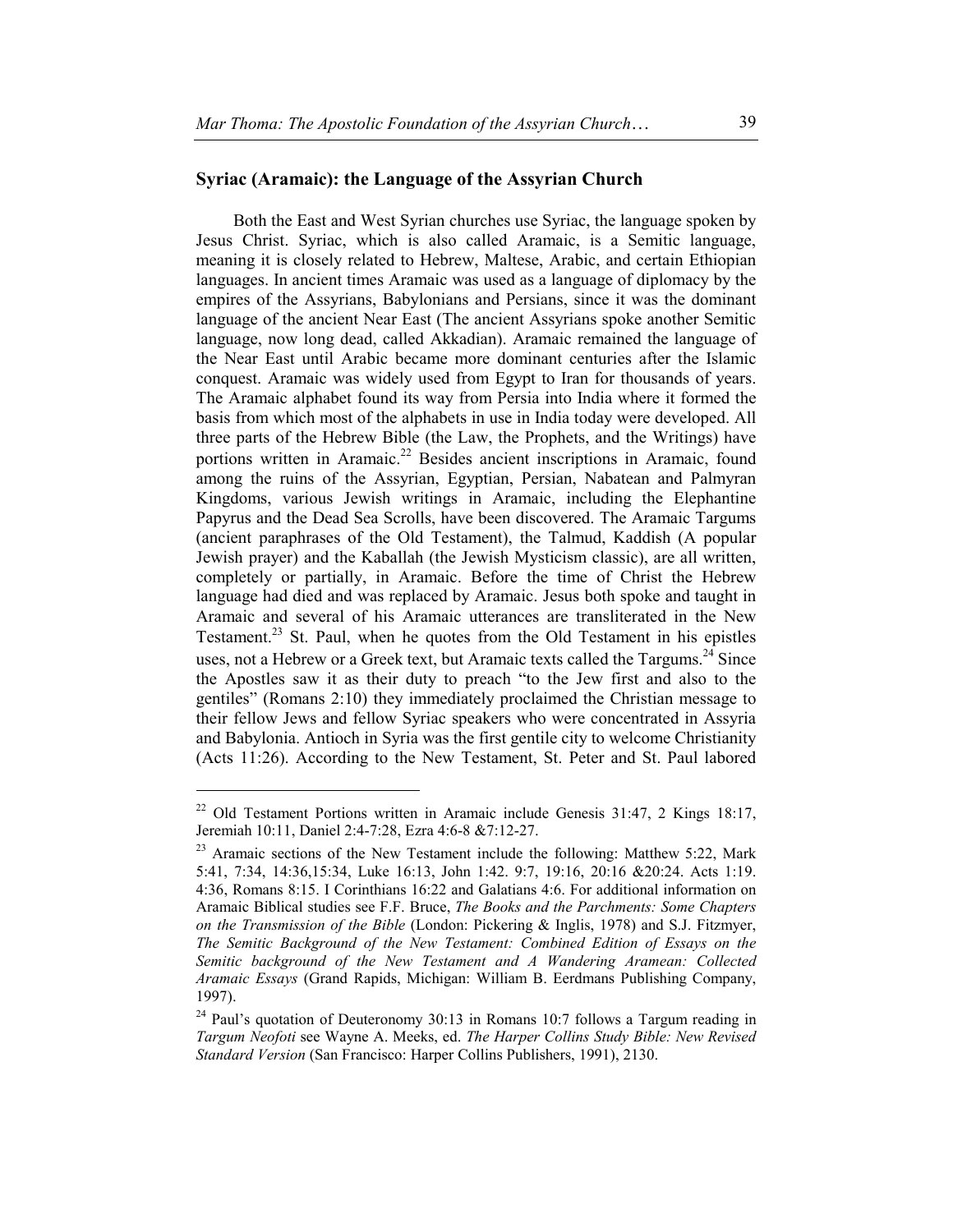## **Syriac (Aramaic): the Language of the Assyrian Church**

Both the East and West Syrian churches use Syriac, the language spoken by Jesus Christ. Syriac, which is also called Aramaic, is a Semitic language, meaning it is closely related to Hebrew, Maltese, Arabic, and certain Ethiopian languages. In ancient times Aramaic was used as a language of diplomacy by the empires of the Assyrians, Babylonians and Persians, since it was the dominant language of the ancient Near East (The ancient Assyrians spoke another Semitic language, now long dead, called Akkadian). Aramaic remained the language of the Near East until Arabic became more dominant centuries after the Islamic conquest. Aramaic was widely used from Egypt to Iran for thousands of years. The Aramaic alphabet found its way from Persia into India where it formed the basis from which most of the alphabets in use in India today were developed. All three parts of the Hebrew Bible (the Law, the Prophets, and the Writings) have portions written in Aramaic.<sup>22</sup> Besides ancient inscriptions in Aramaic, found among the ruins of the Assyrian, Egyptian, Persian, Nabatean and Palmyran Kingdoms, various Jewish writings in Aramaic, including the Elephantine Papyrus and the Dead Sea Scrolls, have been discovered. The Aramaic Targums (ancient paraphrases of the Old Testament), the Talmud, Kaddish (A popular Jewish prayer) and the Kaballah (the Jewish Mysticism classic), are all written, completely or partially, in Aramaic. Before the time of Christ the Hebrew language had died and was replaced by Aramaic. Jesus both spoke and taught in Aramaic and several of his Aramaic utterances are transliterated in the New Testament.<sup>23</sup> St. Paul, when he quotes from the Old Testament in his epistles uses, not a Hebrew or a Greek text, but Aramaic texts called the Targums.<sup>24</sup> Since the Apostles saw it as their duty to preach "to the Jew first and also to the gentiles" (Romans 2:10) they immediately proclaimed the Christian message to their fellow Jews and fellow Syriac speakers who were concentrated in Assyria and Babylonia. Antioch in Syria was the first gentile city to welcome Christianity (Acts 11:26). According to the New Testament, St. Peter and St. Paul labored

<sup>&</sup>lt;sup>22</sup> Old Testament Portions written in Aramaic include Genesis  $31:47$ , 2 Kings 18:17, Jeremiah 10:11, Daniel 2:4-7:28, Ezra 4:6-8 &7:12-27.

 $23$  Aramaic sections of the New Testament include the following: Matthew 5:22, Mark 5:41, 7:34, 14:36,15:34, Luke 16:13, John 1:42. 9:7, 19:16, 20:16 &20:24. Acts 1:19. 4:36, Romans 8:15. I Corinthians 16:22 and Galatians 4:6. For additional information on Aramaic Biblical studies see F.F. Bruce, *The Books and the Parchments: Some Chapters on the Transmission of the Bible* (London: Pickering & Inglis, 1978) and S.J. Fitzmyer, *The Semitic Background of the New Testament: Combined Edition of Essays on the Semitic background of the New Testament and A Wandering Aramean: Collected Aramaic Essays* (Grand Rapids, Michigan: William B. Eerdmans Publishing Company, 1997).

 $24$  Paul's quotation of Deuteronomy 30:13 in Romans 10:7 follows a Targum reading in *Targum Neofoti* see Wayne A. Meeks, ed. *The Harper Collins Study Bible: New Revised Standard Version* (San Francisco: Harper Collins Publishers, 1991), 2130.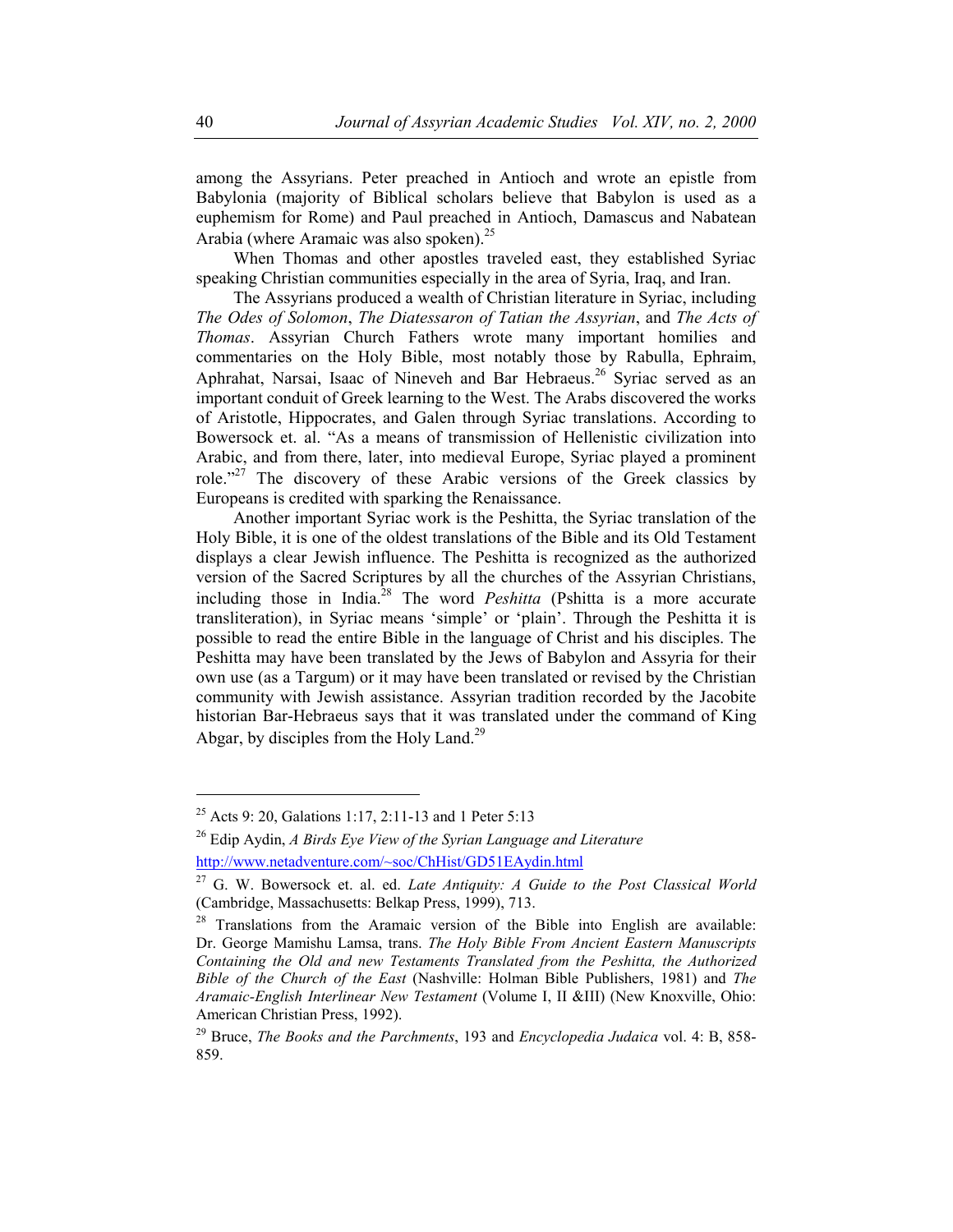among the Assyrians. Peter preached in Antioch and wrote an epistle from Babylonia (majority of Biblical scholars believe that Babylon is used as a euphemism for Rome) and Paul preached in Antioch, Damascus and Nabatean Arabia (where Aramaic was also spoken).<sup>25</sup>

 When Thomas and other apostles traveled east, they established Syriac speaking Christian communities especially in the area of Syria, Iraq, and Iran.

 The Assyrians produced a wealth of Christian literature in Syriac, including *The Odes of Solomon*, *The Diatessaron of Tatian the Assyrian*, and *The Acts of Thomas*. Assyrian Church Fathers wrote many important homilies and commentaries on the Holy Bible, most notably those by Rabulla, Ephraim, Aphrahat, Narsai, Isaac of Nineveh and Bar Hebraeus.<sup>26</sup> Syriac served as an important conduit of Greek learning to the West. The Arabs discovered the works of Aristotle, Hippocrates, and Galen through Syriac translations. According to Bowersock et. al. "As a means of transmission of Hellenistic civilization into Arabic, and from there, later, into medieval Europe, Syriac played a prominent role."<sup>27</sup> The discovery of these Arabic versions of the Greek classics by Europeans is credited with sparking the Renaissance.

 Another important Syriac work is the Peshitta, the Syriac translation of the Holy Bible, it is one of the oldest translations of the Bible and its Old Testament displays a clear Jewish influence. The Peshitta is recognized as the authorized version of the Sacred Scriptures by all the churches of the Assyrian Christians, including those in India.28 The word *Peshitta* (Pshitta is a more accurate transliteration), in Syriac means 'simple' or 'plain'. Through the Peshitta it is possible to read the entire Bible in the language of Christ and his disciples. The Peshitta may have been translated by the Jews of Babylon and Assyria for their own use (as a Targum) or it may have been translated or revised by the Christian community with Jewish assistance. Assyrian tradition recorded by the Jacobite historian Bar-Hebraeus says that it was translated under the command of King Abgar, by disciples from the Holy Land.<sup>29</sup>

<sup>&</sup>lt;sup>25</sup> Acts 9: 20, Galations 1:17, 2:11-13 and 1 Peter 5:13

<sup>26</sup> Edip Aydin, *A Birds Eye View of the Syrian Language and Literature* http://www.netadventure.com/~soc/ChHist/GD51EAydin.html

<sup>27</sup> G. W. Bowersock et. al. ed. *Late Antiquity: A Guide to the Post Classical World*  (Cambridge, Massachusetts: Belkap Press, 1999), 713.

 $28$  Translations from the Aramaic version of the Bible into English are available: Dr. George Mamishu Lamsa, trans. *The Holy Bible From Ancient Eastern Manuscripts Containing the Old and new Testaments Translated from the Peshitta, the Authorized Bible of the Church of the East* (Nashville: Holman Bible Publishers, 1981) and *The Aramaic-English Interlinear New Testament* (Volume I, II &III) (New Knoxville, Ohio: American Christian Press, 1992).

<sup>29</sup> Bruce, *The Books and the Parchments*, 193 and *Encyclopedia Judaica* vol. 4: B, 858- 859.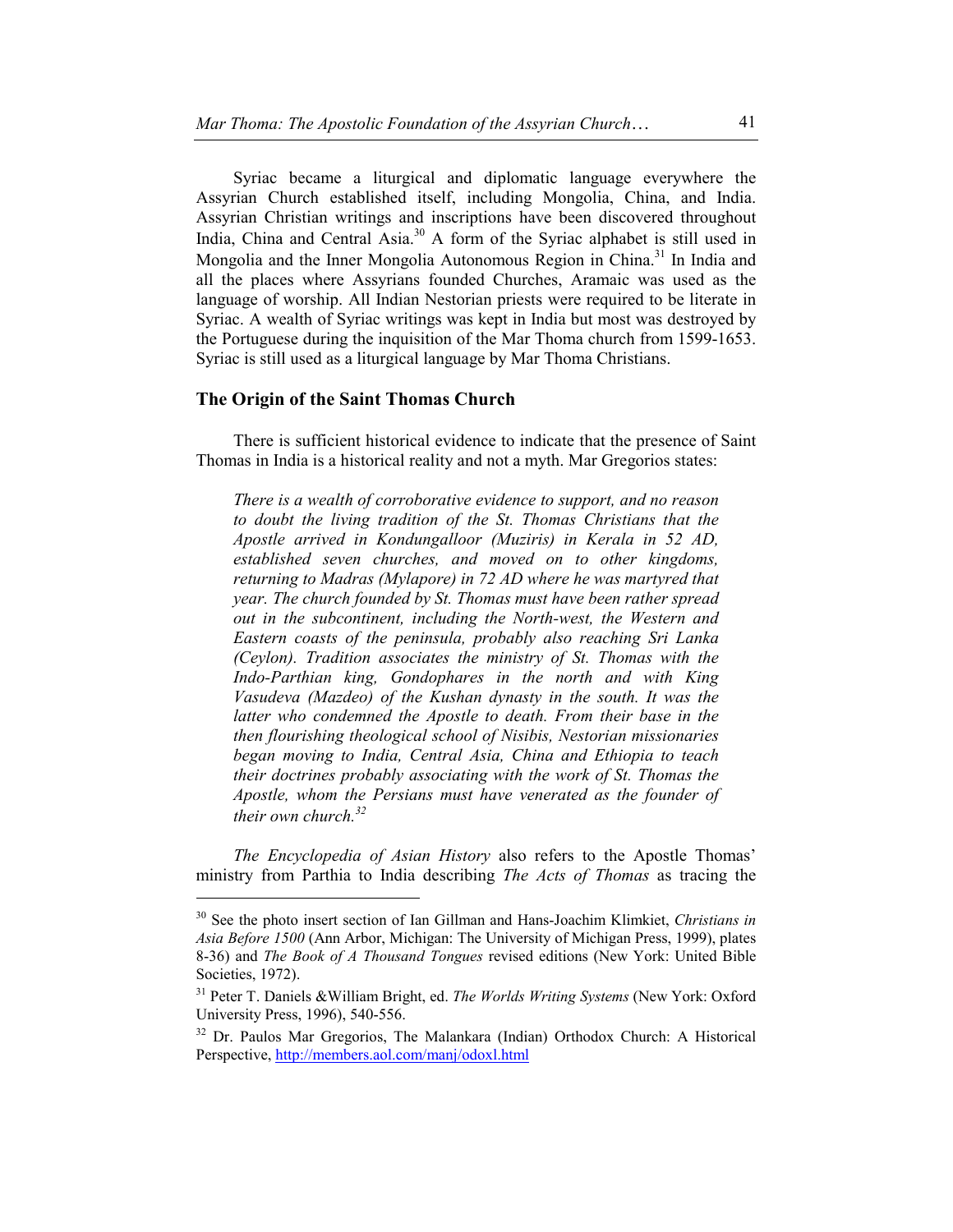Syriac became a liturgical and diplomatic language everywhere the Assyrian Church established itself, including Mongolia, China, and India. Assyrian Christian writings and inscriptions have been discovered throughout India, China and Central Asia.<sup>30</sup> A form of the Syriac alphabet is still used in Mongolia and the Inner Mongolia Autonomous Region in China.31 In India and all the places where Assyrians founded Churches, Aramaic was used as the language of worship. All Indian Nestorian priests were required to be literate in Syriac. A wealth of Syriac writings was kept in India but most was destroyed by the Portuguese during the inquisition of the Mar Thoma church from 1599-1653. Syriac is still used as a liturgical language by Mar Thoma Christians.

### **The Origin of the Saint Thomas Church**

 $\overline{a}$ 

 There is sufficient historical evidence to indicate that the presence of Saint Thomas in India is a historical reality and not a myth. Mar Gregorios states:

*There is a wealth of corroborative evidence to support, and no reason to doubt the living tradition of the St. Thomas Christians that the Apostle arrived in Kondungalloor (Muziris) in Kerala in 52 AD, established seven churches, and moved on to other kingdoms, returning to Madras (Mylapore) in 72 AD where he was martyred that year. The church founded by St. Thomas must have been rather spread out in the subcontinent, including the North-west, the Western and Eastern coasts of the peninsula, probably also reaching Sri Lanka (Ceylon). Tradition associates the ministry of St. Thomas with the Indo-Parthian king, Gondophares in the north and with King Vasudeva (Mazdeo) of the Kushan dynasty in the south. It was the latter who condemned the Apostle to death. From their base in the then flourishing theological school of Nisibis, Nestorian missionaries began moving to India, Central Asia, China and Ethiopia to teach their doctrines probably associating with the work of St. Thomas the Apostle, whom the Persians must have venerated as the founder of their own church.32*

*The Encyclopedia of Asian History* also refers to the Apostle Thomas' ministry from Parthia to India describing *The Acts of Thomas* as tracing the

<sup>30</sup> See the photo insert section of Ian Gillman and Hans-Joachim Klimkiet, *Christians in Asia Before 1500* (Ann Arbor, Michigan: The University of Michigan Press, 1999), plates 8-36) and *The Book of A Thousand Tongues* revised editions (New York: United Bible Societies, 1972).

<sup>31</sup> Peter T. Daniels &William Bright, ed. *The Worlds Writing Systems* (New York: Oxford University Press, 1996), 540-556.

 $32$  Dr. Paulos Mar Gregorios, The Malankara (Indian) Orthodox Church: A Historical Perspective, http://members.aol.com/manj/odoxl.html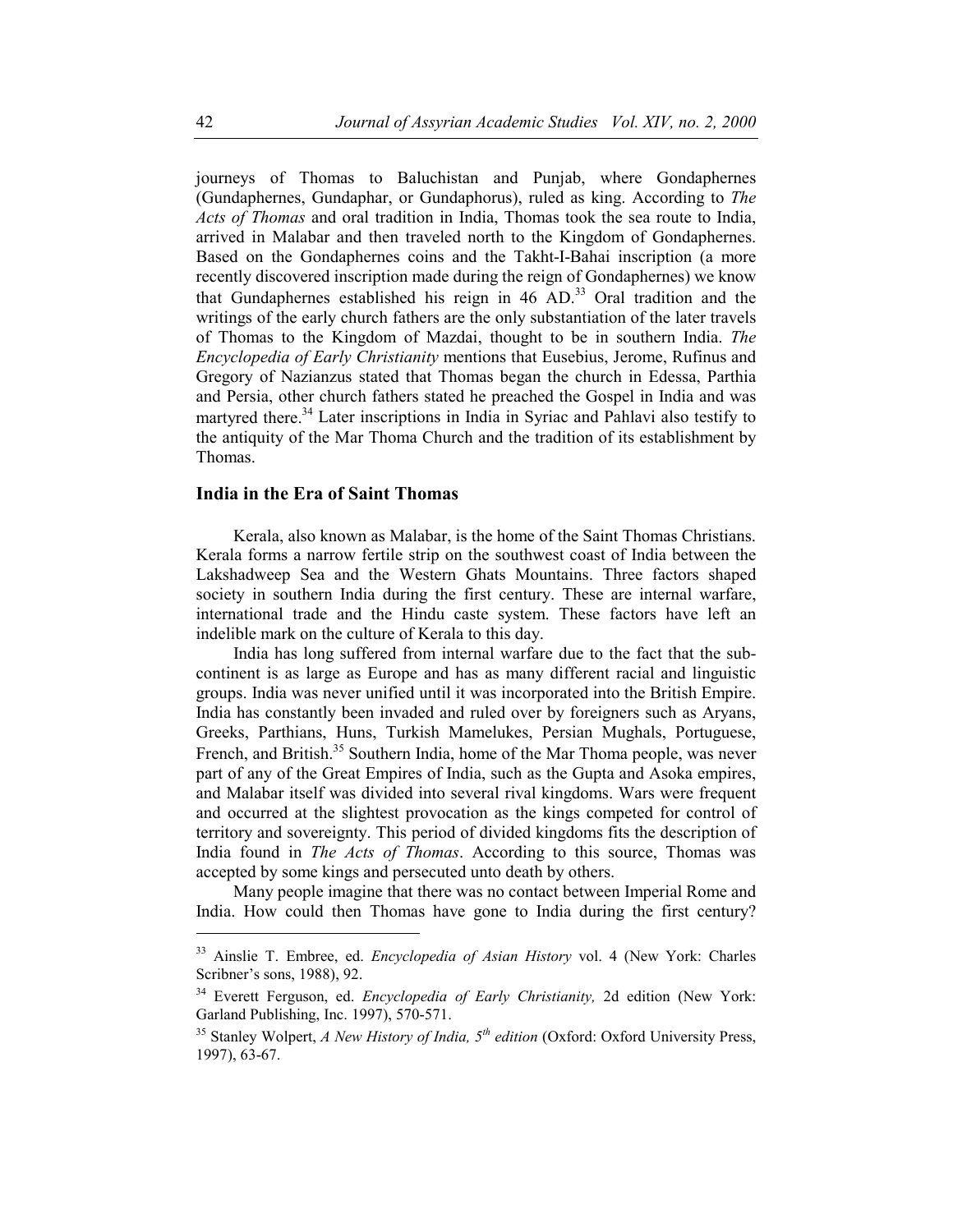journeys of Thomas to Baluchistan and Punjab, where Gondaphernes (Gundaphernes, Gundaphar, or Gundaphorus), ruled as king. According to *The Acts of Thomas* and oral tradition in India, Thomas took the sea route to India, arrived in Malabar and then traveled north to the Kingdom of Gondaphernes. Based on the Gondaphernes coins and the Takht-I-Bahai inscription (a more recently discovered inscription made during the reign of Gondaphernes) we know that Gundaphernes established his reign in  $46$  AD.<sup>33</sup> Oral tradition and the writings of the early church fathers are the only substantiation of the later travels of Thomas to the Kingdom of Mazdai, thought to be in southern India. *The Encyclopedia of Early Christianity* mentions that Eusebius, Jerome, Rufinus and Gregory of Nazianzus stated that Thomas began the church in Edessa, Parthia and Persia, other church fathers stated he preached the Gospel in India and was martyred there.<sup>34</sup> Later inscriptions in India in Syriac and Pahlavi also testify to the antiquity of the Mar Thoma Church and the tradition of its establishment by Thomas.

#### **India in the Era of Saint Thomas**

 Kerala, also known as Malabar, is the home of the Saint Thomas Christians. Kerala forms a narrow fertile strip on the southwest coast of India between the Lakshadweep Sea and the Western Ghats Mountains. Three factors shaped society in southern India during the first century. These are internal warfare, international trade and the Hindu caste system. These factors have left an indelible mark on the culture of Kerala to this day.

 India has long suffered from internal warfare due to the fact that the subcontinent is as large as Europe and has as many different racial and linguistic groups. India was never unified until it was incorporated into the British Empire. India has constantly been invaded and ruled over by foreigners such as Aryans, Greeks, Parthians, Huns, Turkish Mamelukes, Persian Mughals, Portuguese, French, and British.<sup>35</sup> Southern India, home of the Mar Thoma people, was never part of any of the Great Empires of India, such as the Gupta and Asoka empires, and Malabar itself was divided into several rival kingdoms. Wars were frequent and occurred at the slightest provocation as the kings competed for control of territory and sovereignty. This period of divided kingdoms fits the description of India found in *The Acts of Thomas*. According to this source, Thomas was accepted by some kings and persecuted unto death by others.

 Many people imagine that there was no contact between Imperial Rome and India. How could then Thomas have gone to India during the first century?

<sup>33</sup> Ainslie T. Embree, ed. *Encyclopedia of Asian History* vol. 4 (New York: Charles Scribner's sons, 1988), 92.

<sup>34</sup> Everett Ferguson, ed. *Encyclopedia of Early Christianity,* 2d edition (New York: Garland Publishing, Inc. 1997), 570-571.

<sup>35</sup> Stanley Wolpert, *A New History of India, 5th edition* (Oxford: Oxford University Press, 1997), 63-67.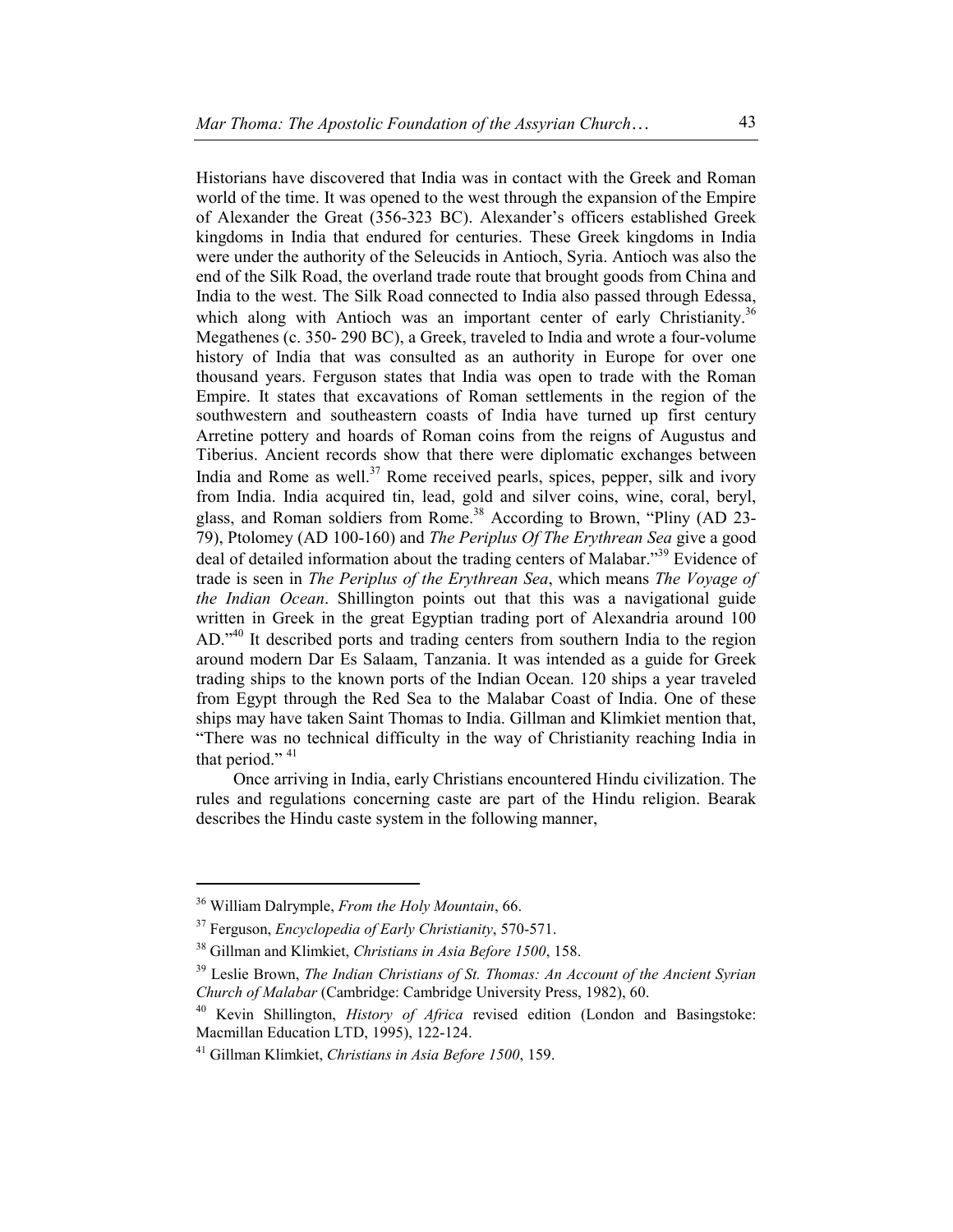Historians have discovered that India was in contact with the Greek and Roman world of the time. It was opened to the west through the expansion of the Empire of Alexander the Great (356-323 BC). Alexander's officers established Greek kingdoms in India that endured for centuries. These Greek kingdoms in India were under the authority of the Seleucids in Antioch, Syria. Antioch was also the end of the Silk Road, the overland trade route that brought goods from China and India to the west. The Silk Road connected to India also passed through Edessa, which along with Antioch was an important center of early Christianity.<sup>36</sup> Megathenes (c. 350- 290 BC), a Greek, traveled to India and wrote a four-volume history of India that was consulted as an authority in Europe for over one thousand years. Ferguson states that India was open to trade with the Roman Empire. It states that excavations of Roman settlements in the region of the southwestern and southeastern coasts of India have turned up first century Arretine pottery and hoards of Roman coins from the reigns of Augustus and Tiberius. Ancient records show that there were diplomatic exchanges between India and Rome as well. $37$  Rome received pearls, spices, pepper, silk and ivory from India. India acquired tin, lead, gold and silver coins, wine, coral, beryl, glass, and Roman soldiers from Rome.<sup>38</sup> According to Brown, "Pliny (AD 23-79), Ptolomey (AD 100-160) and *The Periplus Of The Erythrean Sea* give a good deal of detailed information about the trading centers of Malabar."39 Evidence of trade is seen in *The Periplus of the Erythrean Sea*, which means *The Voyage of the Indian Ocean*. Shillington points out that this was a navigational guide written in Greek in the great Egyptian trading port of Alexandria around 100 AD."<sup>40</sup> It described ports and trading centers from southern India to the region around modern Dar Es Salaam, Tanzania. It was intended as a guide for Greek trading ships to the known ports of the Indian Ocean. 120 ships a year traveled from Egypt through the Red Sea to the Malabar Coast of India. One of these ships may have taken Saint Thomas to India. Gillman and Klimkiet mention that, "There was no technical difficulty in the way of Christianity reaching India in that period." $41$ 

 Once arriving in India, early Christians encountered Hindu civilization. The rules and regulations concerning caste are part of the Hindu religion. Bearak describes the Hindu caste system in the following manner,

<sup>&</sup>lt;sup>36</sup> William Dalrymple, *From the Holy Mountain*, 66.<br><sup>37</sup> Ferguson, *Encyclopedia of Early Christianity*, 570-571.<br><sup>38</sup> Gillman and Klimkiet, *Christians in Asia Before 1500*, 158.<br><sup>39</sup> Leslie Brown, *The Indian Christian Church of Malabar* (Cambridge: Cambridge University Press, 1982), 60.

<sup>40</sup> Kevin Shillington, *History of Africa* revised edition (London and Basingstoke: Macmillan Education LTD, 1995), 122-124.

<sup>41</sup> Gillman Klimkiet, *Christians in Asia Before 1500*, 159.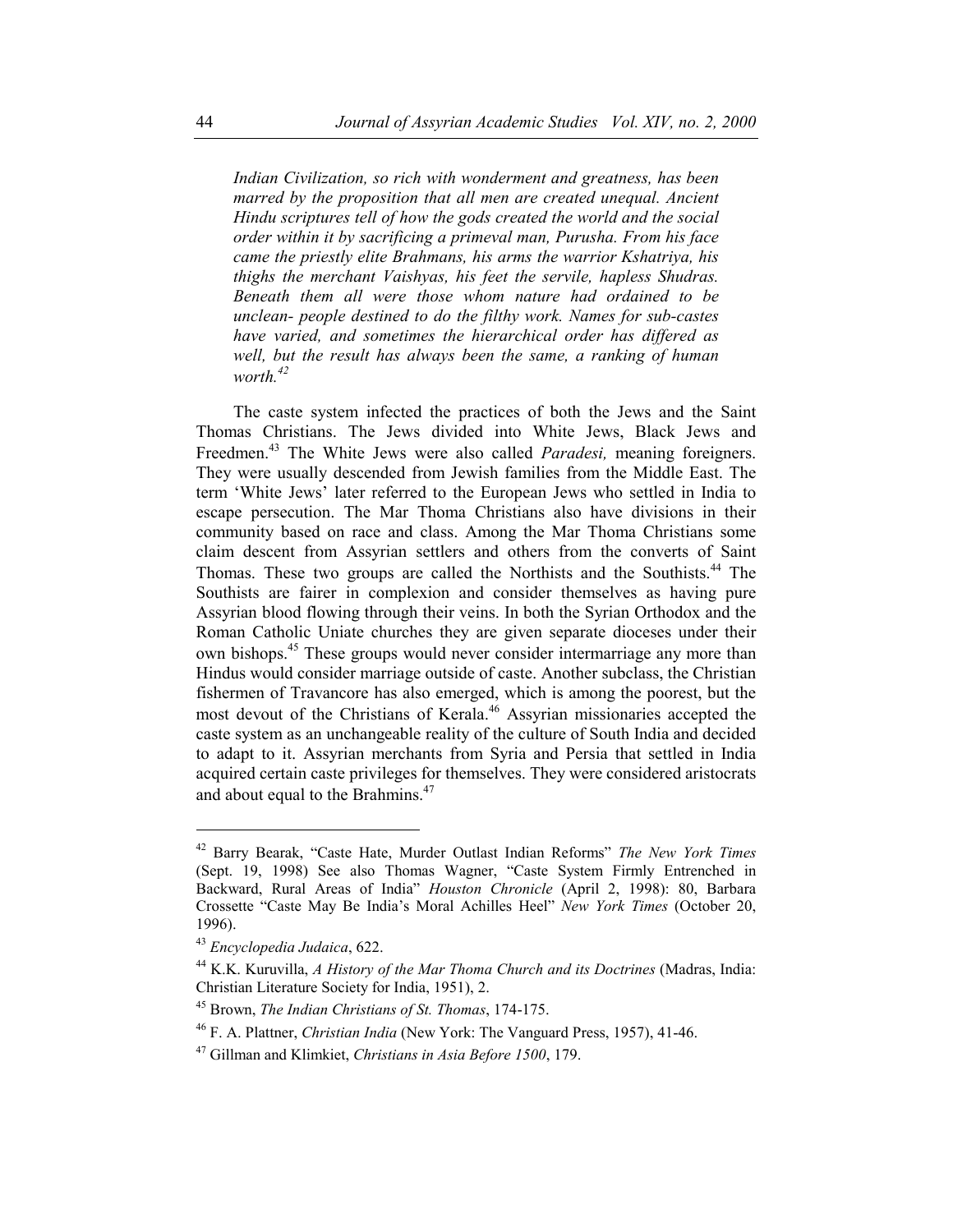*Indian Civilization, so rich with wonderment and greatness, has been marred by the proposition that all men are created unequal. Ancient Hindu scriptures tell of how the gods created the world and the social order within it by sacrificing a primeval man, Purusha. From his face came the priestly elite Brahmans, his arms the warrior Kshatriya, his thighs the merchant Vaishyas, his feet the servile, hapless Shudras. Beneath them all were those whom nature had ordained to be unclean- people destined to do the filthy work. Names for sub-castes have varied, and sometimes the hierarchical order has differed as well, but the result has always been the same, a ranking of human worth.42*

 The caste system infected the practices of both the Jews and the Saint Thomas Christians. The Jews divided into White Jews, Black Jews and Freedmen.<sup>43</sup> The White Jews were also called *Paradesi*, meaning foreigners. They were usually descended from Jewish families from the Middle East. The term 'White Jews' later referred to the European Jews who settled in India to escape persecution. The Mar Thoma Christians also have divisions in their community based on race and class. Among the Mar Thoma Christians some claim descent from Assyrian settlers and others from the converts of Saint Thomas. These two groups are called the Northists and the Southists.<sup>44</sup> The Southists are fairer in complexion and consider themselves as having pure Assyrian blood flowing through their veins. In both the Syrian Orthodox and the Roman Catholic Uniate churches they are given separate dioceses under their own bishops.<sup>45</sup> These groups would never consider intermarriage any more than Hindus would consider marriage outside of caste. Another subclass, the Christian fishermen of Travancore has also emerged, which is among the poorest, but the most devout of the Christians of Kerala.<sup>46</sup> Assyrian missionaries accepted the caste system as an unchangeable reality of the culture of South India and decided to adapt to it. Assyrian merchants from Syria and Persia that settled in India acquired certain caste privileges for themselves. They were considered aristocrats and about equal to the Brahmins.<sup>47</sup>

<sup>42</sup> Barry Bearak, "Caste Hate, Murder Outlast Indian Reforms" *The New York Times* (Sept. 19, 1998) See also Thomas Wagner, "Caste System Firmly Entrenched in Backward, Rural Areas of India" *Houston Chronicle* (April 2, 1998): 80, Barbara Crossette "Caste May Be India's Moral Achilles Heel" *New York Times* (October 20, 1996).

<sup>&</sup>lt;sup>43</sup> *Encyclopedia Judaica*, 622.<br><sup>44</sup> K.K. Kuruvilla, *A History of the Mar Thoma Church and its Doctrines* (Madras, India: Christian Literature Society for India, 1951), 2.

<sup>&</sup>lt;sup>45</sup> Brown, *The Indian Christians of St. Thomas*, 174-175.<br><sup>46</sup> F. A. Plattner, *Christian India* (New York: The Vanguard Press, 1957), 41-46.<br><sup>47</sup> Gillman and Klimkiet, *Christians in Asia Before 1500*, 179.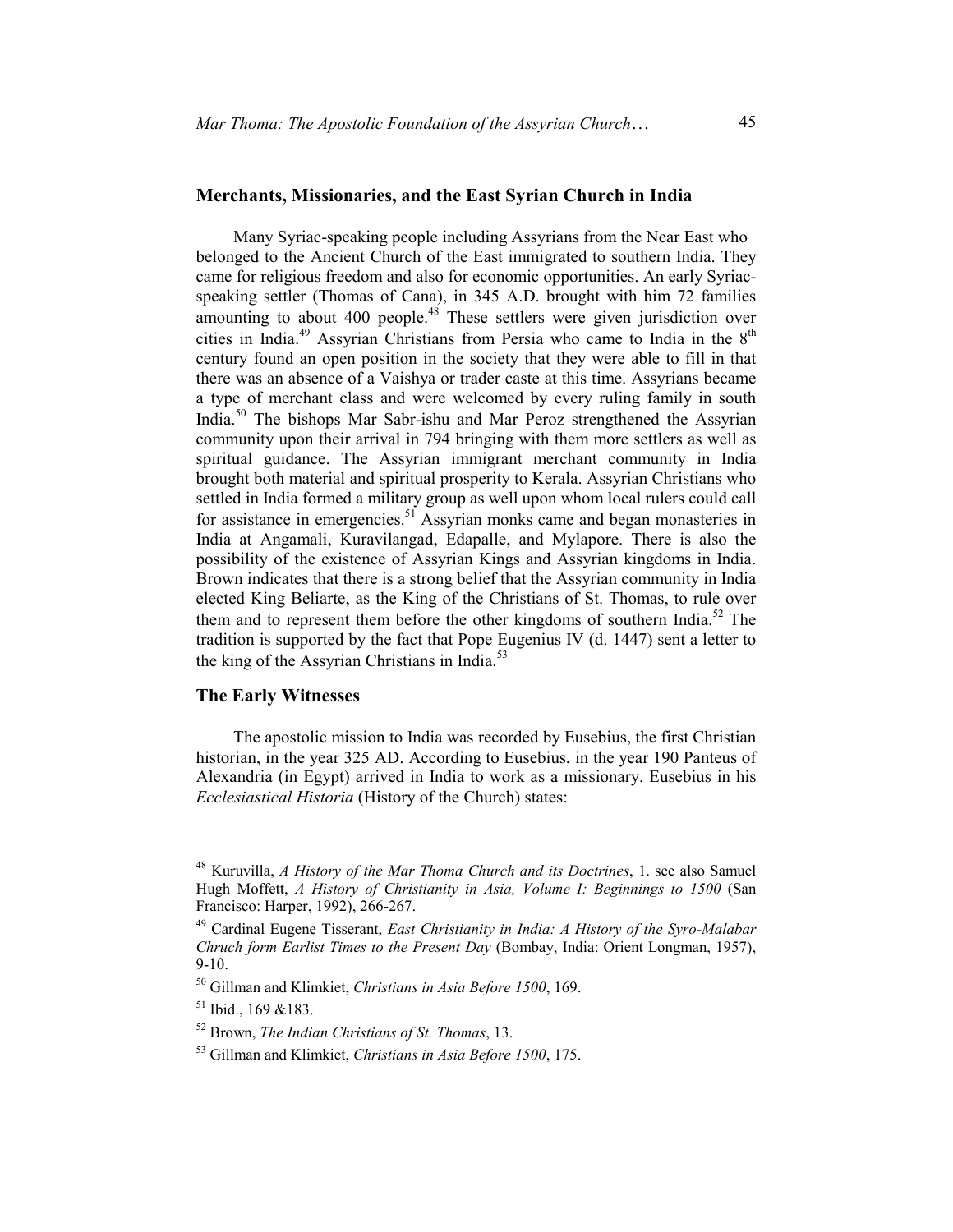## **Merchants, Missionaries, and the East Syrian Church in India**

 Many Syriac-speaking people including Assyrians from the Near East who belonged to the Ancient Church of the East immigrated to southern India. They came for religious freedom and also for economic opportunities. An early Syriacspeaking settler (Thomas of Cana), in 345 A.D. brought with him 72 families amounting to about 400 people.<sup>48</sup> These settlers were given jurisdiction over cities in India.<sup>49</sup> Assyrian Christians from Persia who came to India in the  $8<sup>th</sup>$ century found an open position in the society that they were able to fill in that there was an absence of a Vaishya or trader caste at this time. Assyrians became a type of merchant class and were welcomed by every ruling family in south India.50 The bishops Mar Sabr-ishu and Mar Peroz strengthened the Assyrian community upon their arrival in 794 bringing with them more settlers as well as spiritual guidance. The Assyrian immigrant merchant community in India brought both material and spiritual prosperity to Kerala. Assyrian Christians who settled in India formed a military group as well upon whom local rulers could call for assistance in emergencies.<sup>51</sup> Assyrian monks came and began monasteries in India at Angamali, Kuravilangad, Edapalle, and Mylapore. There is also the possibility of the existence of Assyrian Kings and Assyrian kingdoms in India. Brown indicates that there is a strong belief that the Assyrian community in India elected King Beliarte, as the King of the Christians of St. Thomas, to rule over them and to represent them before the other kingdoms of southern India.<sup>52</sup> The tradition is supported by the fact that Pope Eugenius IV (d. 1447) sent a letter to the king of the Assyrian Christians in India.<sup>53</sup>

# **The Early Witnesses**

 The apostolic mission to India was recorded by Eusebius, the first Christian historian, in the year 325 AD. According to Eusebius, in the year 190 Panteus of Alexandria (in Egypt) arrived in India to work as a missionary. Eusebius in his *Ecclesiastical Historia* (History of the Church) states:

<sup>48</sup> Kuruvilla, *A History of the Mar Thoma Church and its Doctrines*, 1. see also Samuel Hugh Moffett, *A History of Christianity in Asia, Volume I: Beginnings to 1500* (San Francisco: Harper, 1992), 266-267.

<sup>49</sup> Cardinal Eugene Tisserant, *East Christianity in India: A History of the Syro-Malabar Chruch form Earlist Times to the Present Day* (Bombay, India: Orient Longman, 1957),  $9-10.$ 

<sup>50</sup> Gillman and Klimkiet, *Christians in Asia Before 1500*, 169. 51 Ibid., 169 &183.

<sup>52</sup> Brown, *The Indian Christians of St. Thomas*, 13. 53 Gillman and Klimkiet, *Christians in Asia Before 1500*, 175.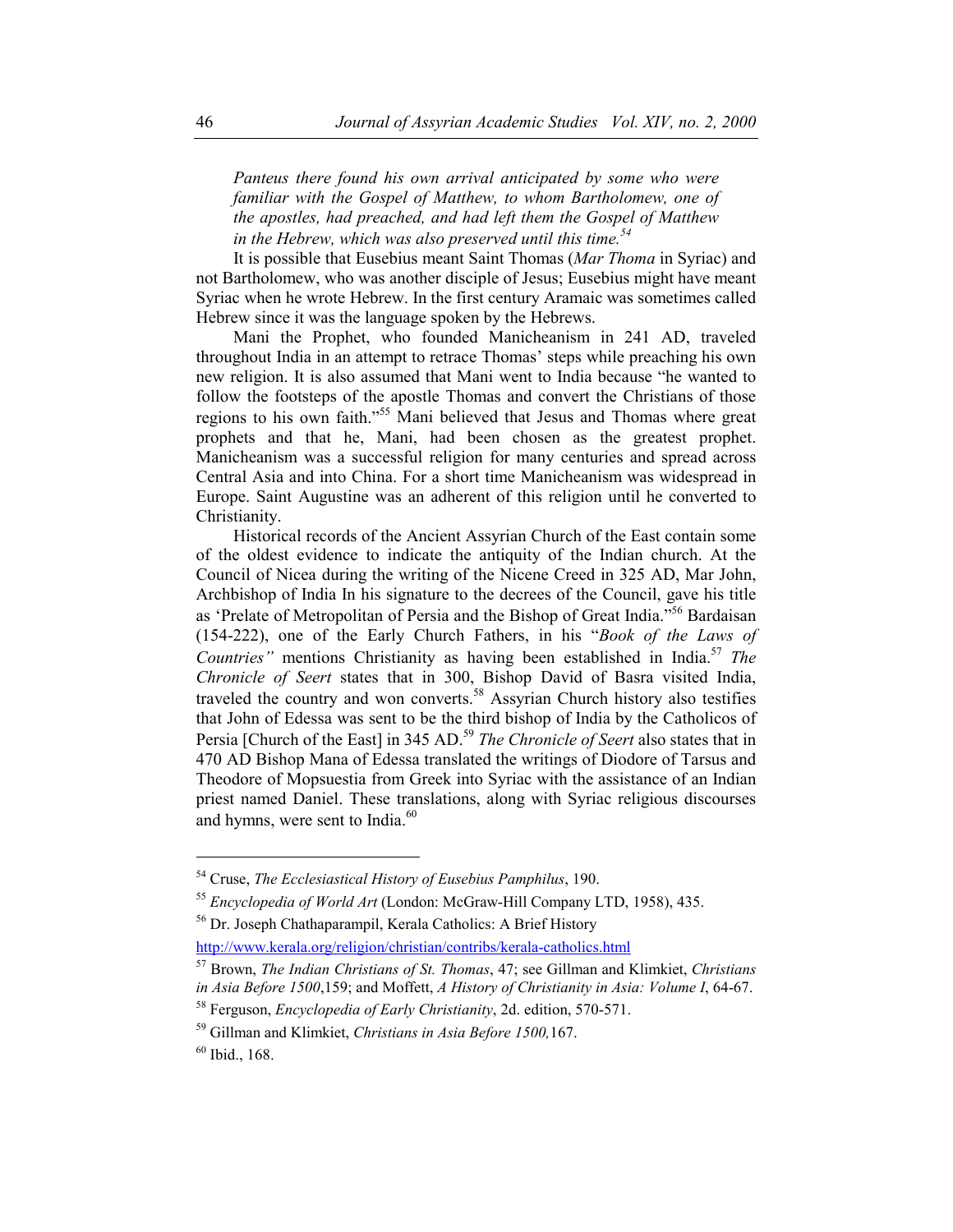*Panteus there found his own arrival anticipated by some who were familiar with the Gospel of Matthew, to whom Bartholomew, one of the apostles, had preached, and had left them the Gospel of Matthew in the Hebrew, which was also preserved until this time.<sup>54</sup>*

 It is possible that Eusebius meant Saint Thomas (*Mar Thoma* in Syriac) and not Bartholomew, who was another disciple of Jesus; Eusebius might have meant Syriac when he wrote Hebrew. In the first century Aramaic was sometimes called Hebrew since it was the language spoken by the Hebrews.

 Mani the Prophet, who founded Manicheanism in 241 AD, traveled throughout India in an attempt to retrace Thomas' steps while preaching his own new religion. It is also assumed that Mani went to India because "he wanted to follow the footsteps of the apostle Thomas and convert the Christians of those regions to his own faith."55 Mani believed that Jesus and Thomas where great prophets and that he, Mani, had been chosen as the greatest prophet. Manicheanism was a successful religion for many centuries and spread across Central Asia and into China. For a short time Manicheanism was widespread in Europe. Saint Augustine was an adherent of this religion until he converted to Christianity.

 Historical records of the Ancient Assyrian Church of the East contain some of the oldest evidence to indicate the antiquity of the Indian church. At the Council of Nicea during the writing of the Nicene Creed in 325 AD, Mar John, Archbishop of India In his signature to the decrees of the Council, gave his title as 'Prelate of Metropolitan of Persia and the Bishop of Great India."<sup>56</sup> Bardaisan (154-222), one of the Early Church Fathers, in his "*Book of the Laws of Countries*" mentions Christianity as having been established in India.<sup>57</sup> *The Chronicle of Seert* states that in 300, Bishop David of Basra visited India, traveled the country and won converts.<sup>58</sup> Assyrian Church history also testifies that John of Edessa was sent to be the third bishop of India by the Catholicos of Persia [Church of the East] in 345 AD.<sup>59</sup> *The Chronicle of Seert* also states that in 470 AD Bishop Mana of Edessa translated the writings of Diodore of Tarsus and Theodore of Mopsuestia from Greek into Syriac with the assistance of an Indian priest named Daniel. These translations, along with Syriac religious discourses and hymns, were sent to India.<sup>60</sup>

<sup>&</sup>lt;sup>54</sup> Cruse, *The Ecclesiastical History of Eusebius Pamphilus*, 190.<br><sup>55</sup> *Encyclopedia of World Art* (London: McGraw-Hill Company LTD, 1958), 435.<br><sup>56</sup> Dr. Joseph Chathaparampil, Kerala Catholics: A Brief History

http://www.kerala.org/religion/christian/contribs/kerala-catholics.html

<sup>57</sup> Brown, *The Indian Christians of St. Thomas*, 47; see Gillman and Klimkiet, *Christians in Asia Before 1500*,159; and Moffett, *A History of Christianity in Asia: Volume I*, 64-67.

<sup>58</sup> Ferguson, *Encyclopedia of Early Christianity*, 2d. edition, 570-571. 59 Gillman and Klimkiet, *Christians in Asia Before 1500,*167. 60 Ibid., 168.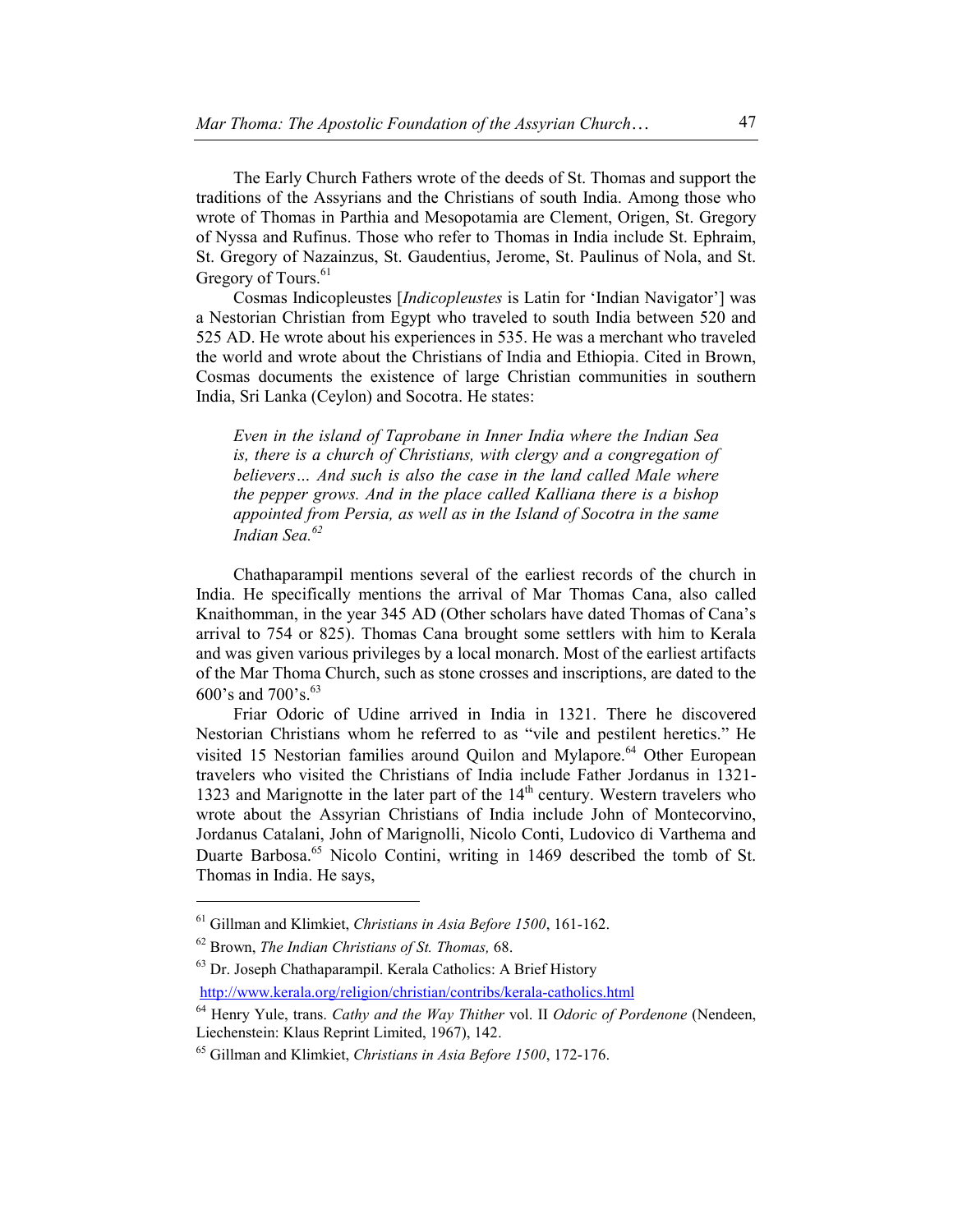The Early Church Fathers wrote of the deeds of St. Thomas and support the traditions of the Assyrians and the Christians of south India. Among those who wrote of Thomas in Parthia and Mesopotamia are Clement, Origen, St. Gregory of Nyssa and Rufinus. Those who refer to Thomas in India include St. Ephraim, St. Gregory of Nazainzus, St. Gaudentius, Jerome, St. Paulinus of Nola, and St. Gregory of Tours.<sup>61</sup>

Cosmas Indicopleustes [*Indicopleustes* is Latin for 'Indian Navigator'] was a Nestorian Christian from Egypt who traveled to south India between 520 and 525 AD. He wrote about his experiences in 535. He was a merchant who traveled the world and wrote about the Christians of India and Ethiopia. Cited in Brown, Cosmas documents the existence of large Christian communities in southern India, Sri Lanka (Ceylon) and Socotra. He states:

*Even in the island of Taprobane in Inner India where the Indian Sea is, there is a church of Christians, with clergy and a congregation of believers… And such is also the case in the land called Male where the pepper grows. And in the place called Kalliana there is a bishop appointed from Persia, as well as in the Island of Socotra in the same Indian Sea.62* 

 Chathaparampil mentions several of the earliest records of the church in India. He specifically mentions the arrival of Mar Thomas Cana, also called Knaithomman, in the year 345 AD (Other scholars have dated Thomas of Cana's arrival to 754 or 825). Thomas Cana brought some settlers with him to Kerala and was given various privileges by a local monarch. Most of the earliest artifacts of the Mar Thoma Church, such as stone crosses and inscriptions, are dated to the 600's and 700's.<sup>63</sup>

 Friar Odoric of Udine arrived in India in 1321. There he discovered Nestorian Christians whom he referred to as "vile and pestilent heretics." He visited 15 Nestorian families around Ouilon and Mylapore.<sup>64</sup> Other European travelers who visited the Christians of India include Father Jordanus in 1321- 1323 and Marignotte in the later part of the  $14<sup>th</sup>$  century. Western travelers who wrote about the Assyrian Christians of India include John of Montecorvino, Jordanus Catalani, John of Marignolli, Nicolo Conti, Ludovico di Varthema and Duarte Barbosa.<sup>65</sup> Nicolo Contini, writing in 1469 described the tomb of St. Thomas in India. He says,

<sup>&</sup>lt;sup>61</sup> Gillman and Klimkiet, *Christians in Asia Before 1500*, 161-162.<br><sup>62</sup> Brown, *The Indian Christians of St. Thomas*, 68.<br><sup>63</sup> Dr. Joseph Chathaparampil. Kerala Catholics: A Brief History

http://www.kerala.org/religion/christian/contribs/kerala-catholics.html

<sup>64</sup> Henry Yule, trans. *Cathy and the Way Thither* vol. II *Odoric of Pordenone* (Nendeen, Liechenstein: Klaus Reprint Limited, 1967), 142.

<sup>65</sup> Gillman and Klimkiet, *Christians in Asia Before 1500*, 172-176.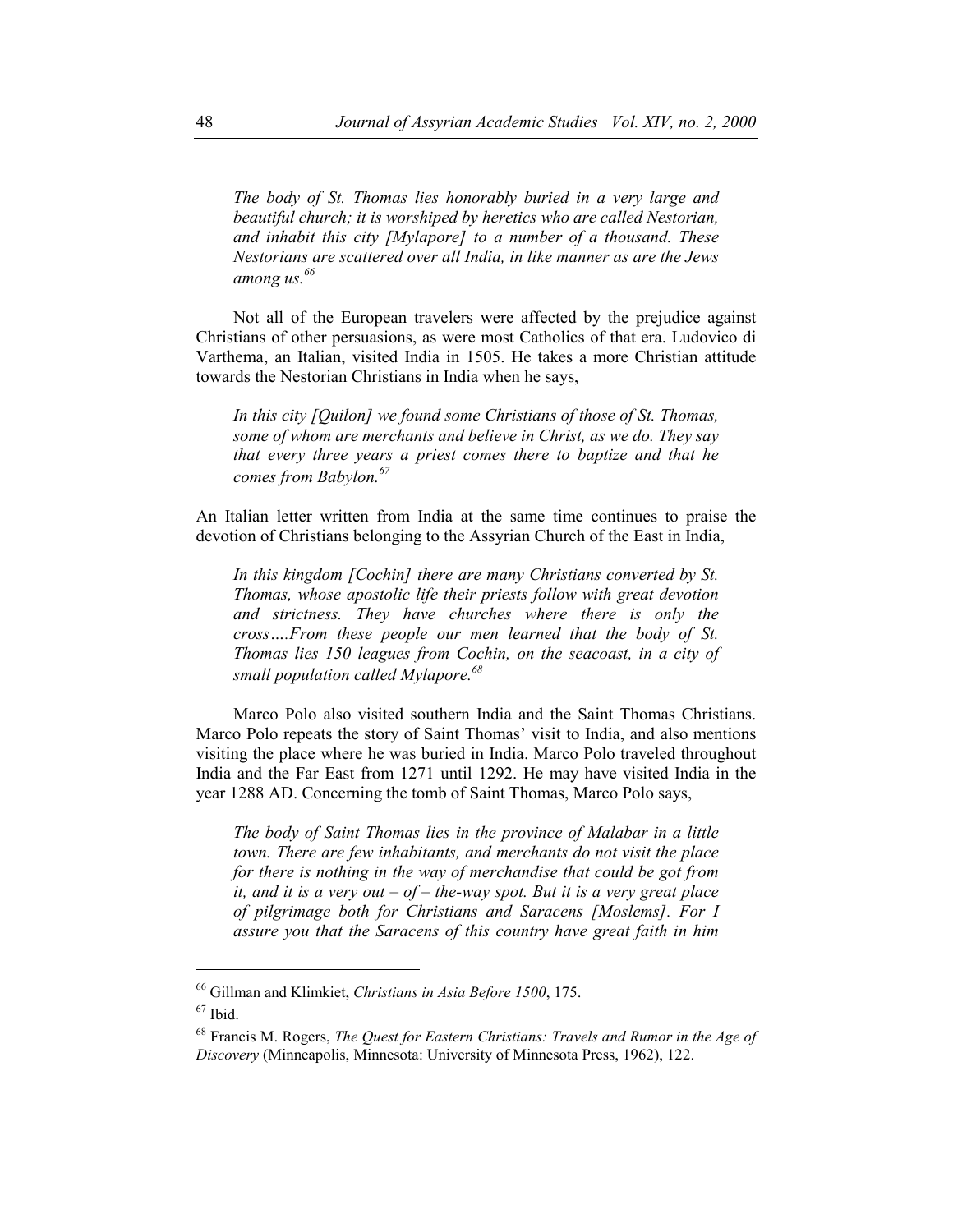*The body of St. Thomas lies honorably buried in a very large and beautiful church; it is worshiped by heretics who are called Nestorian, and inhabit this city [Mylapore] to a number of a thousand. These Nestorians are scattered over all India, in like manner as are the Jews among us. 66*

 Not all of the European travelers were affected by the prejudice against Christians of other persuasions, as were most Catholics of that era. Ludovico di Varthema, an Italian, visited India in 1505. He takes a more Christian attitude towards the Nestorian Christians in India when he says,

*In this city [Quilon] we found some Christians of those of St. Thomas, some of whom are merchants and believe in Christ, as we do. They say that every three years a priest comes there to baptize and that he comes from Babylon.67*

An Italian letter written from India at the same time continues to praise the devotion of Christians belonging to the Assyrian Church of the East in India,

*In this kingdom [Cochin] there are many Christians converted by St. Thomas, whose apostolic life their priests follow with great devotion and strictness. They have churches where there is only the cross….From these people our men learned that the body of St. Thomas lies 150 leagues from Cochin, on the seacoast, in a city of small population called Mylapore.68*

 Marco Polo also visited southern India and the Saint Thomas Christians. Marco Polo repeats the story of Saint Thomas' visit to India, and also mentions visiting the place where he was buried in India. Marco Polo traveled throughout India and the Far East from 1271 until 1292. He may have visited India in the year 1288 AD. Concerning the tomb of Saint Thomas, Marco Polo says,

*The body of Saint Thomas lies in the province of Malabar in a little town. There are few inhabitants, and merchants do not visit the place for there is nothing in the way of merchandise that could be got from it, and it is a very out – of – the-way spot. But it is a very great place of pilgrimage both for Christians and Saracens [Moslems]. For I assure you that the Saracens of this country have great faith in him* 

<sup>&</sup>lt;sup>66</sup> Gillman and Klimkiet, *Christians in Asia Before 1500*, 175.<br><sup>67</sup> Ibid

<sup>68</sup> Francis M. Rogers, *The Quest for Eastern Christians: Travels and Rumor in the Age of Discovery* (Minneapolis, Minnesota: University of Minnesota Press, 1962), 122.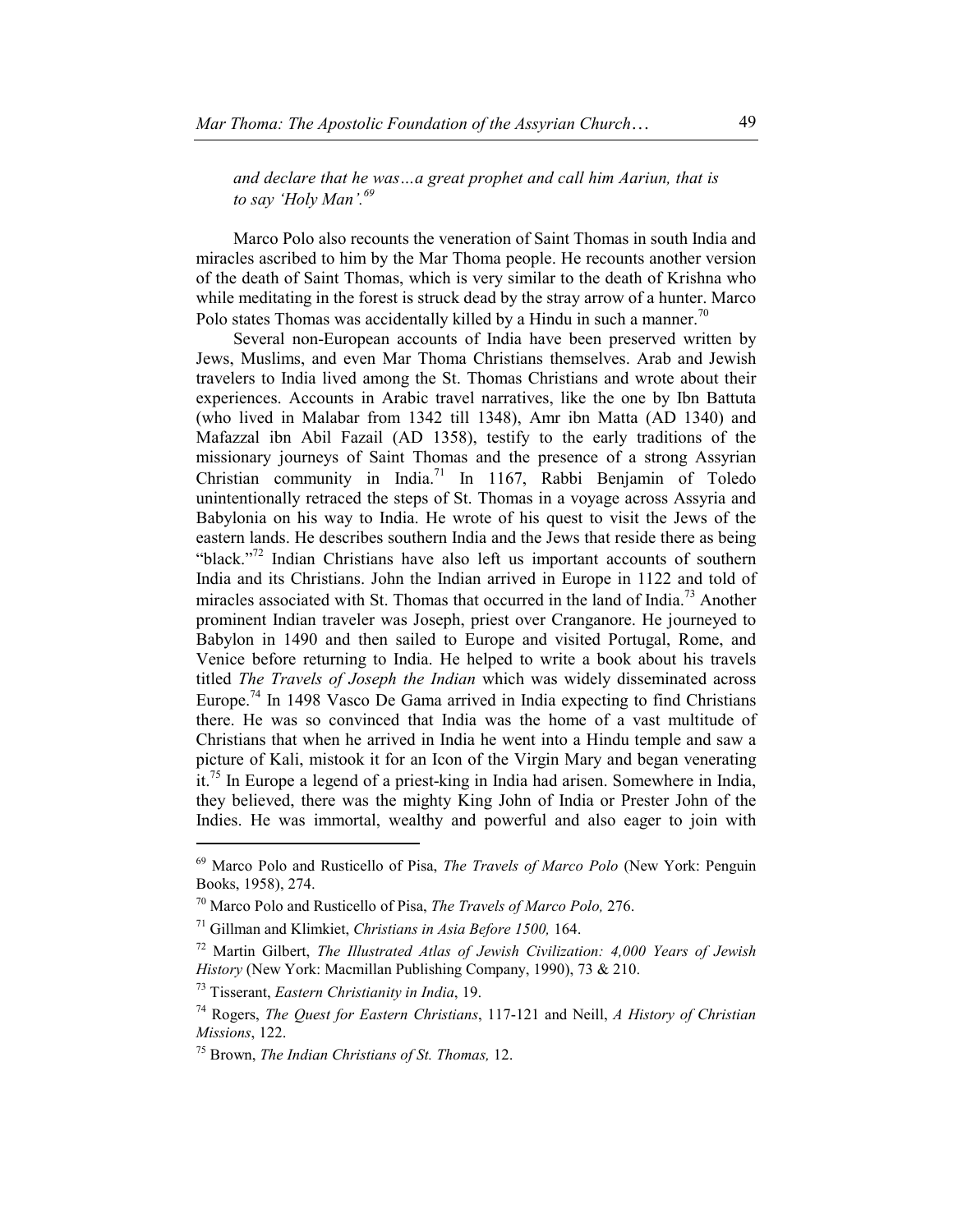*and declare that he was…a great prophet and call him Aariun, that is to say 'Holy Man'.<sup>69</sup>*

 Marco Polo also recounts the veneration of Saint Thomas in south India and miracles ascribed to him by the Mar Thoma people. He recounts another version of the death of Saint Thomas, which is very similar to the death of Krishna who while meditating in the forest is struck dead by the stray arrow of a hunter. Marco Polo states Thomas was accidentally killed by a Hindu in such a manner.<sup>70</sup>

 Several non-European accounts of India have been preserved written by Jews, Muslims, and even Mar Thoma Christians themselves. Arab and Jewish travelers to India lived among the St. Thomas Christians and wrote about their experiences. Accounts in Arabic travel narratives, like the one by Ibn Battuta (who lived in Malabar from 1342 till 1348), Amr ibn Matta (AD 1340) and Mafazzal ibn Abil Fazail (AD 1358), testify to the early traditions of the missionary journeys of Saint Thomas and the presence of a strong Assyrian Christian community in India.71 In 1167, Rabbi Benjamin of Toledo unintentionally retraced the steps of St. Thomas in a voyage across Assyria and Babylonia on his way to India. He wrote of his quest to visit the Jews of the eastern lands. He describes southern India and the Jews that reside there as being "black."72 Indian Christians have also left us important accounts of southern India and its Christians. John the Indian arrived in Europe in 1122 and told of miracles associated with St. Thomas that occurred in the land of India.<sup>73</sup> Another prominent Indian traveler was Joseph, priest over Cranganore. He journeyed to Babylon in 1490 and then sailed to Europe and visited Portugal, Rome, and Venice before returning to India. He helped to write a book about his travels titled *The Travels of Joseph the Indian* which was widely disseminated across Europe.<sup>74</sup> In 1498 Vasco De Gama arrived in India expecting to find Christians there. He was so convinced that India was the home of a vast multitude of Christians that when he arrived in India he went into a Hindu temple and saw a picture of Kali, mistook it for an Icon of the Virgin Mary and began venerating it.75 In Europe a legend of a priest-king in India had arisen. Somewhere in India, they believed, there was the mighty King John of India or Prester John of the Indies. He was immortal, wealthy and powerful and also eager to join with

<sup>69</sup> Marco Polo and Rusticello of Pisa, *The Travels of Marco Polo* (New York: Penguin Books, 1958), 274.

<sup>&</sup>lt;sup>70</sup> Marco Polo and Rusticello of Pisa, *The Travels of Marco Polo*, 276.<br><sup>71</sup> Gillman and Klimkiet, *Christians in Asia Before 1500*, 164.<br><sup>72</sup> Martin Gilbert, *The Illustrated Atlas of Jewish Civilization: 4,000 Years o* 

<sup>&</sup>lt;sup>73</sup> Tisserant, *Eastern Christianity in India*, 19.<br><sup>74</sup> Rogers, *The Quest for Eastern Christians*, 117-121 and Neill, *A History of Christian Missions*, 122.

*Missions*, 122. 75 Brown, *The Indian Christians of St. Thomas,* 12.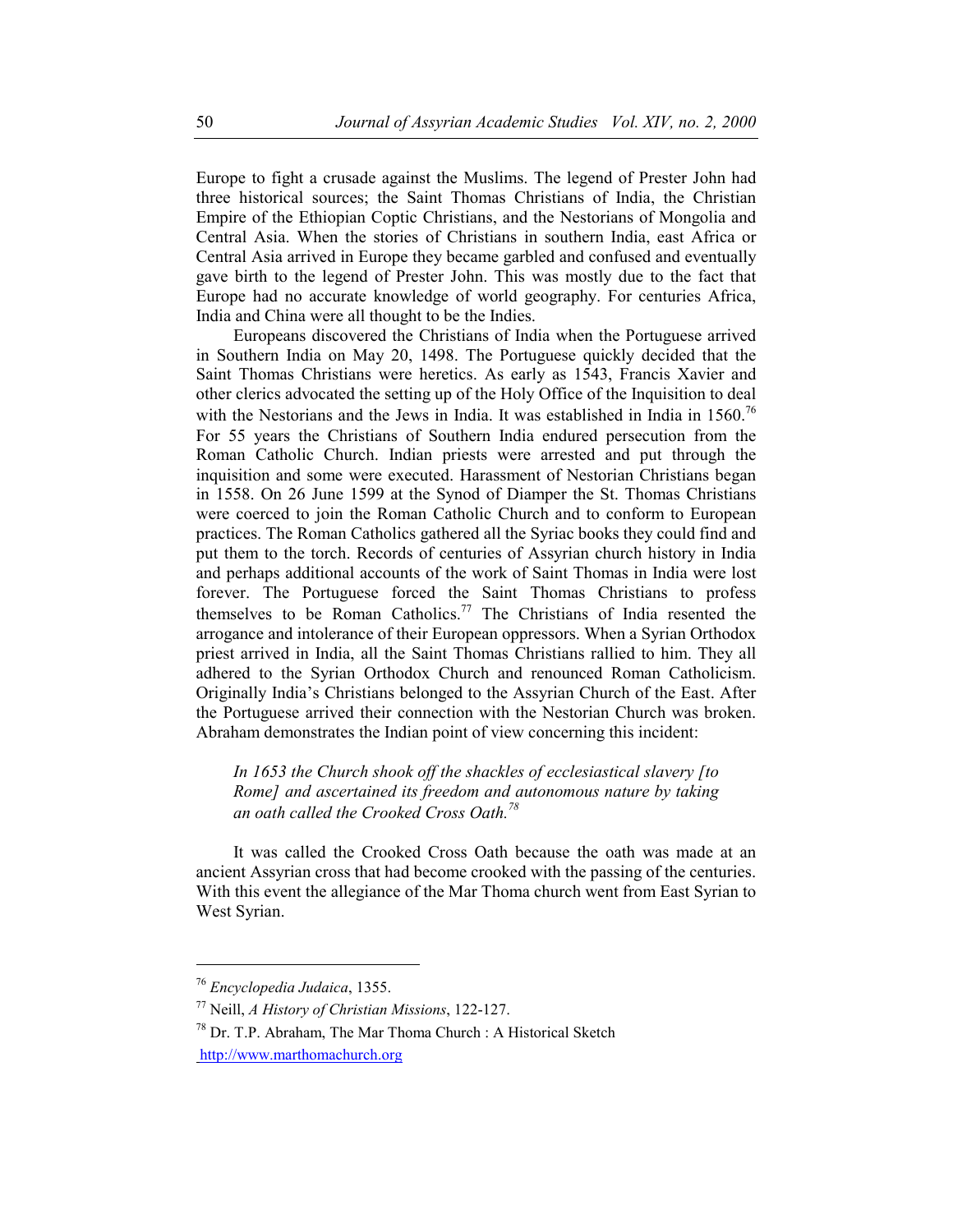Europe to fight a crusade against the Muslims. The legend of Prester John had three historical sources; the Saint Thomas Christians of India, the Christian Empire of the Ethiopian Coptic Christians, and the Nestorians of Mongolia and Central Asia. When the stories of Christians in southern India, east Africa or Central Asia arrived in Europe they became garbled and confused and eventually gave birth to the legend of Prester John. This was mostly due to the fact that Europe had no accurate knowledge of world geography. For centuries Africa, India and China were all thought to be the Indies.

 Europeans discovered the Christians of India when the Portuguese arrived in Southern India on May 20, 1498. The Portuguese quickly decided that the Saint Thomas Christians were heretics. As early as 1543, Francis Xavier and other clerics advocated the setting up of the Holy Office of the Inquisition to deal with the Nestorians and the Jews in India. It was established in India in 1560.<sup>76</sup> For 55 years the Christians of Southern India endured persecution from the Roman Catholic Church. Indian priests were arrested and put through the inquisition and some were executed. Harassment of Nestorian Christians began in 1558. On 26 June 1599 at the Synod of Diamper the St. Thomas Christians were coerced to join the Roman Catholic Church and to conform to European practices. The Roman Catholics gathered all the Syriac books they could find and put them to the torch. Records of centuries of Assyrian church history in India and perhaps additional accounts of the work of Saint Thomas in India were lost forever. The Portuguese forced the Saint Thomas Christians to profess themselves to be Roman Catholics.<sup>77</sup> The Christians of India resented the arrogance and intolerance of their European oppressors. When a Syrian Orthodox priest arrived in India, all the Saint Thomas Christians rallied to him. They all adhered to the Syrian Orthodox Church and renounced Roman Catholicism. Originally India's Christians belonged to the Assyrian Church of the East. After the Portuguese arrived their connection with the Nestorian Church was broken. Abraham demonstrates the Indian point of view concerning this incident:

*In 1653 the Church shook off the shackles of ecclesiastical slavery [to Rome] and ascertained its freedom and autonomous nature by taking an oath called the Crooked Cross Oath.<sup>78</sup>*

 It was called the Crooked Cross Oath because the oath was made at an ancient Assyrian cross that had become crooked with the passing of the centuries. With this event the allegiance of the Mar Thoma church went from East Syrian to West Syrian.

<sup>&</sup>lt;sup>76</sup> *Encyclopedia Judaica*, 1355.<br><sup>77</sup> Neill, *A History of Christian Missions*, 122-127.<br><sup>78</sup> Dr. T.P. Abraham, The Mar Thoma Church : A Historical Sketch

http://www.marthomachurch.org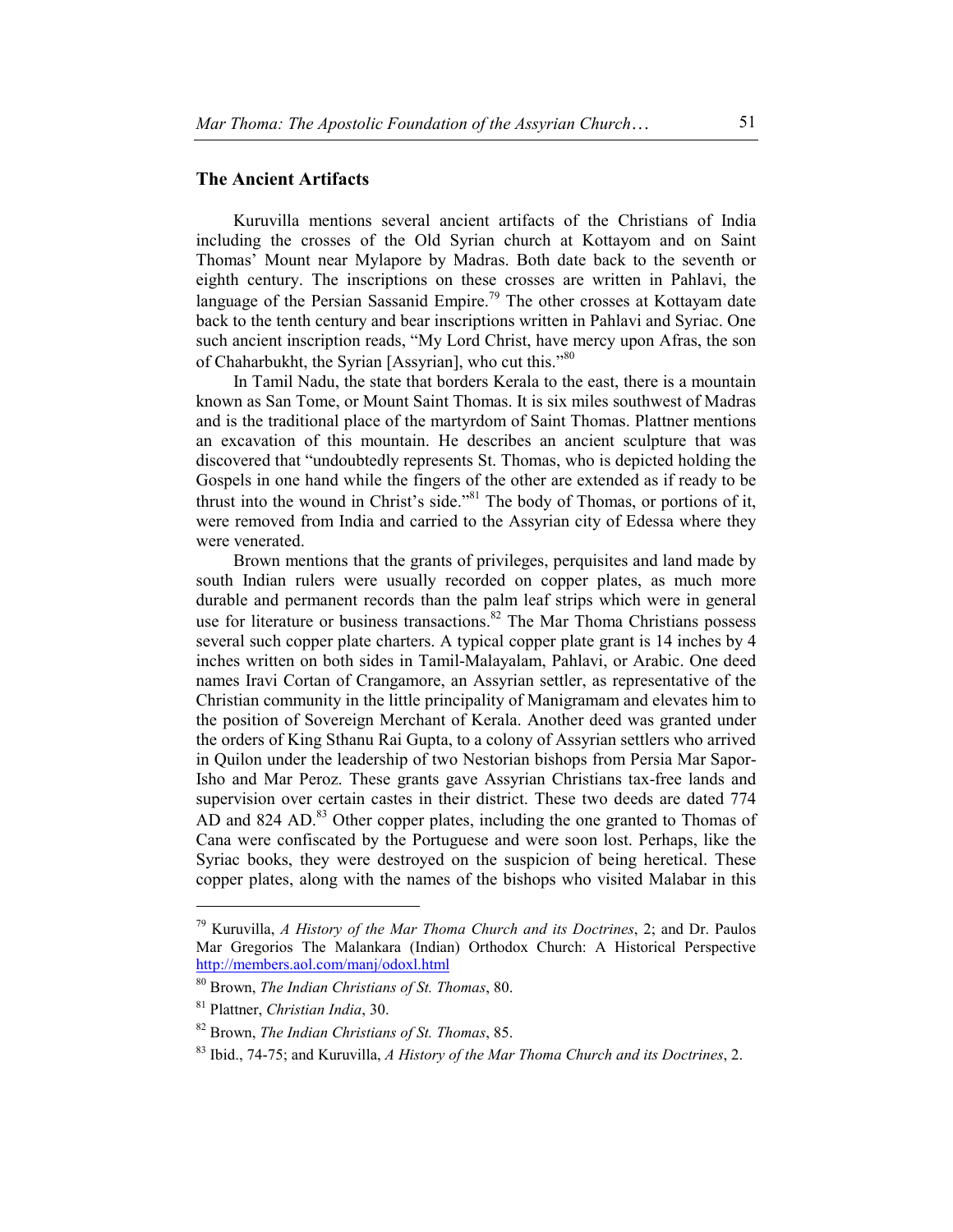## **The Ancient Artifacts**

 Kuruvilla mentions several ancient artifacts of the Christians of India including the crosses of the Old Syrian church at Kottayom and on Saint Thomas' Mount near Mylapore by Madras. Both date back to the seventh or eighth century. The inscriptions on these crosses are written in Pahlavi, the language of the Persian Sassanid Empire.<sup>79</sup> The other crosses at Kottayam date back to the tenth century and bear inscriptions written in Pahlavi and Syriac. One such ancient inscription reads, "My Lord Christ, have mercy upon Afras, the son of Chaharbukht, the Syrian [Assyrian], who cut this."80

 In Tamil Nadu, the state that borders Kerala to the east, there is a mountain known as San Tome, or Mount Saint Thomas. It is six miles southwest of Madras and is the traditional place of the martyrdom of Saint Thomas. Plattner mentions an excavation of this mountain. He describes an ancient sculpture that was discovered that "undoubtedly represents St. Thomas, who is depicted holding the Gospels in one hand while the fingers of the other are extended as if ready to be thrust into the wound in Christ's side."81 The body of Thomas, or portions of it, were removed from India and carried to the Assyrian city of Edessa where they were venerated.

Brown mentions that the grants of privileges, perquisites and land made by south Indian rulers were usually recorded on copper plates, as much more durable and permanent records than the palm leaf strips which were in general use for literature or business transactions.<sup>82</sup> The Mar Thoma Christians possess several such copper plate charters. A typical copper plate grant is 14 inches by 4 inches written on both sides in Tamil-Malayalam, Pahlavi, or Arabic. One deed names Iravi Cortan of Crangamore, an Assyrian settler, as representative of the Christian community in the little principality of Manigramam and elevates him to the position of Sovereign Merchant of Kerala. Another deed was granted under the orders of King Sthanu Rai Gupta, to a colony of Assyrian settlers who arrived in Quilon under the leadership of two Nestorian bishops from Persia Mar Sapor-Isho and Mar Peroz. These grants gave Assyrian Christians tax-free lands and supervision over certain castes in their district. These two deeds are dated 774 AD and 824 AD.<sup>83</sup> Other copper plates, including the one granted to Thomas of Cana were confiscated by the Portuguese and were soon lost. Perhaps, like the Syriac books, they were destroyed on the suspicion of being heretical. These copper plates, along with the names of the bishops who visited Malabar in this

<sup>79</sup> Kuruvilla, *A History of the Mar Thoma Church and its Doctrines*, 2; and Dr. Paulos Mar Gregorios The Malankara (Indian) Orthodox Church: A Historical Perspective http://members.aol.com/manj/odoxl.html

<sup>&</sup>lt;sup>80</sup> Brown, *The Indian Christians of St. Thomas*, 80.<br><sup>81</sup> Plattner, *Christian India*, 30.<br><sup>82</sup> Brown, *The Indian Christians of St. Thomas*, 85.<br><sup>83</sup> Ibid., 74-75; and Kuruvilla, *A History of the Mar Thoma Church and*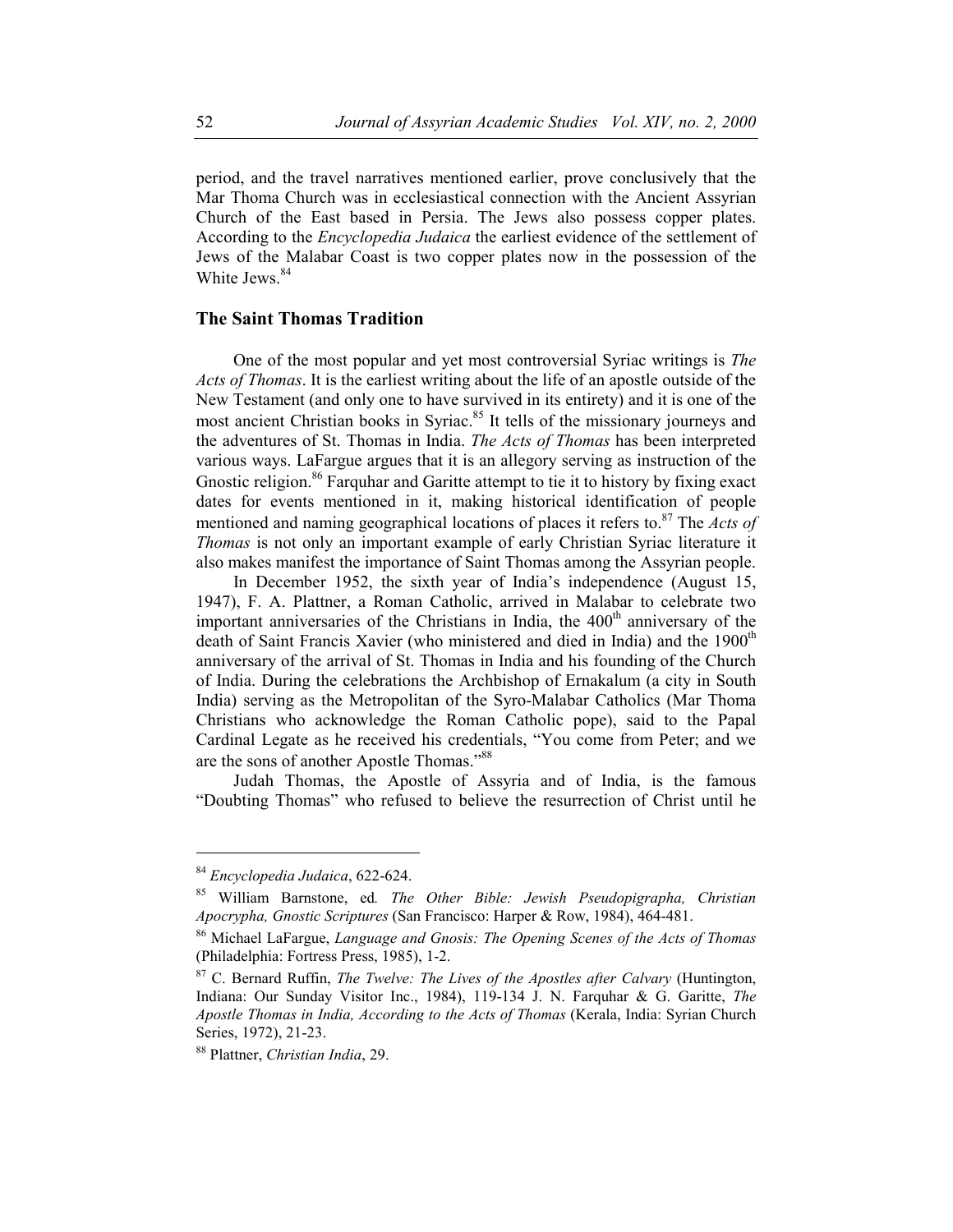period, and the travel narratives mentioned earlier, prove conclusively that the Mar Thoma Church was in ecclesiastical connection with the Ancient Assyrian Church of the East based in Persia. The Jews also possess copper plates. According to the *Encyclopedia Judaica* the earliest evidence of the settlement of Jews of the Malabar Coast is two copper plates now in the possession of the White Jews<sup>84</sup>

## **The Saint Thomas Tradition**

One of the most popular and yet most controversial Syriac writings is *The Acts of Thomas*. It is the earliest writing about the life of an apostle outside of the New Testament (and only one to have survived in its entirety) and it is one of the most ancient Christian books in Syriac.<sup>85</sup> It tells of the missionary journeys and the adventures of St. Thomas in India. *The Acts of Thomas* has been interpreted various ways. LaFargue argues that it is an allegory serving as instruction of the Gnostic religion.<sup>86</sup> Farquhar and Garitte attempt to tie it to history by fixing exact dates for events mentioned in it, making historical identification of people mentioned and naming geographical locations of places it refers to.87 The *Acts of Thomas* is not only an important example of early Christian Syriac literature it also makes manifest the importance of Saint Thomas among the Assyrian people.

In December 1952, the sixth year of India's independence (August 15, 1947), F. A. Plattner, a Roman Catholic, arrived in Malabar to celebrate two important anniversaries of the Christians in India, the  $400<sup>th</sup>$  anniversary of the death of Saint Francis Xavier (who ministered and died in India) and the 1900<sup>th</sup> anniversary of the arrival of St. Thomas in India and his founding of the Church of India. During the celebrations the Archbishop of Ernakalum (a city in South India) serving as the Metropolitan of the Syro-Malabar Catholics (Mar Thoma Christians who acknowledge the Roman Catholic pope), said to the Papal Cardinal Legate as he received his credentials, "You come from Peter; and we are the sons of another Apostle Thomas."<sup>88</sup>

Judah Thomas, the Apostle of Assyria and of India, is the famous "Doubting Thomas" who refused to believe the resurrection of Christ until he

<sup>&</sup>lt;sup>84</sup> *Encyclopedia Judaica*, 622-624.<br><sup>85</sup> William Barnstone, ed. *The Other Bible: Jewish Pseudopigrapha, Christian Apocrypha, Gnostic Scriptures* (San Francisco: Harper & Row, 1984), 464-481.

<sup>&</sup>lt;sup>86</sup> Michael LaFargue, *Language and Gnosis: The Opening Scenes of the Acts of Thomas* (Philadelphia: Fortress Press, 1985), 1-2.

<sup>87</sup> C. Bernard Ruffin, *The Twelve: The Lives of the Apostles after Calvary* (Huntington, Indiana: Our Sunday Visitor Inc., 1984), 119-134 J. N. Farquhar & G. Garitte, *The Apostle Thomas in India, According to the Acts of Thomas* (Kerala, India: Syrian Church Series, 1972), 21-23.

<sup>88</sup> Plattner, *Christian India*, 29.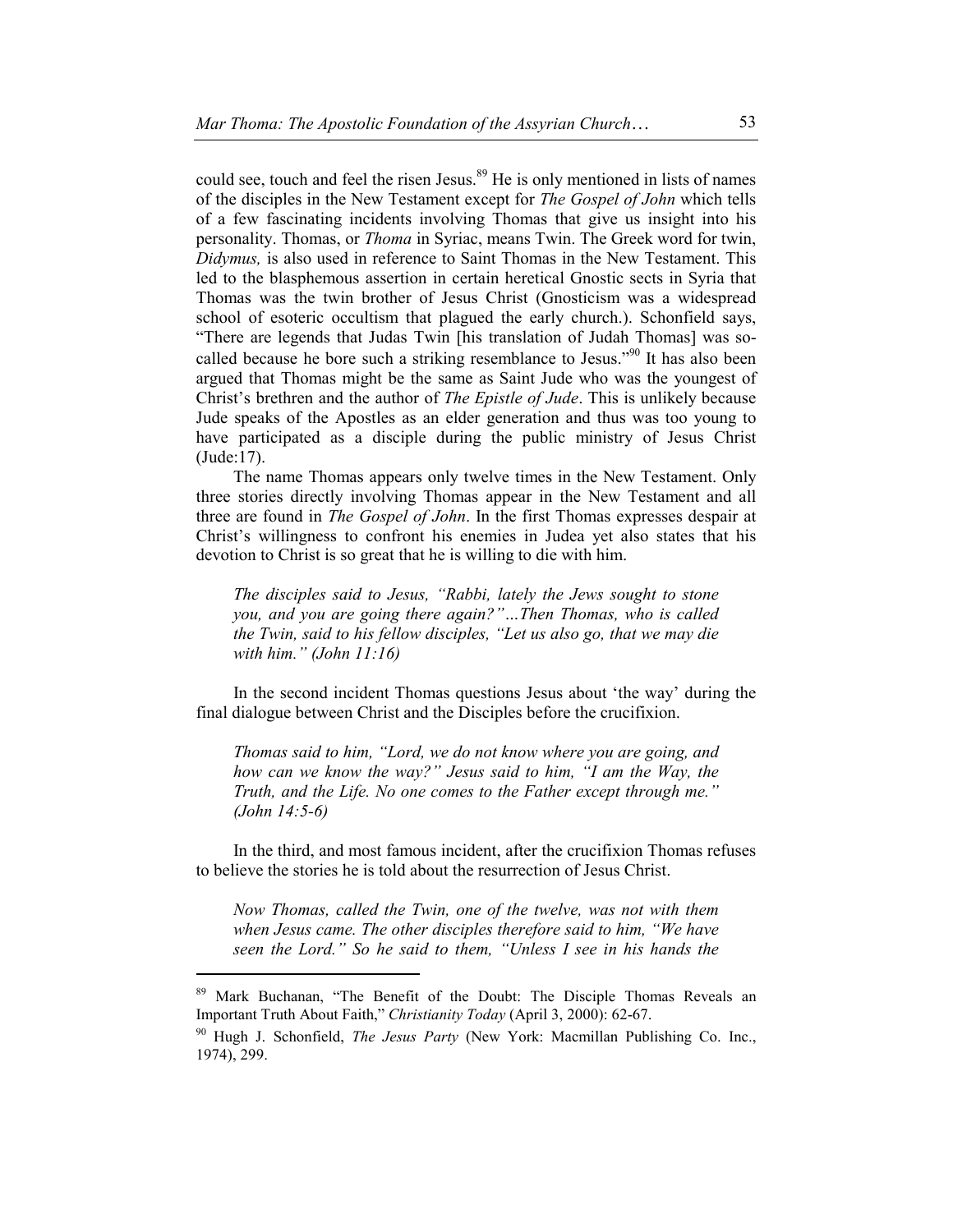could see, touch and feel the risen Jesus.<sup>89</sup> He is only mentioned in lists of names of the disciples in the New Testament except for *The Gospel of John* which tells of a few fascinating incidents involving Thomas that give us insight into his personality. Thomas, or *Thoma* in Syriac, means Twin. The Greek word for twin, *Didymus,* is also used in reference to Saint Thomas in the New Testament. This led to the blasphemous assertion in certain heretical Gnostic sects in Syria that Thomas was the twin brother of Jesus Christ (Gnosticism was a widespread school of esoteric occultism that plagued the early church.). Schonfield says, "There are legends that Judas Twin [his translation of Judah Thomas] was socalled because he bore such a striking resemblance to Jesus."90 It has also been argued that Thomas might be the same as Saint Jude who was the youngest of Christ's brethren and the author of *The Epistle of Jude*. This is unlikely because Jude speaks of the Apostles as an elder generation and thus was too young to have participated as a disciple during the public ministry of Jesus Christ (Jude:17).

The name Thomas appears only twelve times in the New Testament. Only three stories directly involving Thomas appear in the New Testament and all three are found in *The Gospel of John*. In the first Thomas expresses despair at Christ's willingness to confront his enemies in Judea yet also states that his devotion to Christ is so great that he is willing to die with him.

*The disciples said to Jesus, "Rabbi, lately the Jews sought to stone you, and you are going there again?"…Then Thomas, who is called the Twin, said to his fellow disciples, "Let us also go, that we may die with him." (John 11:16)* 

 In the second incident Thomas questions Jesus about 'the way' during the final dialogue between Christ and the Disciples before the crucifixion.

*Thomas said to him, "Lord, we do not know where you are going, and how can we know the way?" Jesus said to him, "I am the Way, the Truth, and the Life. No one comes to the Father except through me." (John 14:5-6)* 

 In the third, and most famous incident, after the crucifixion Thomas refuses to believe the stories he is told about the resurrection of Jesus Christ.

*Now Thomas, called the Twin, one of the twelve, was not with them when Jesus came. The other disciples therefore said to him, "We have seen the Lord." So he said to them, "Unless I see in his hands the* 

<sup>89</sup> Mark Buchanan, "The Benefit of the Doubt: The Disciple Thomas Reveals an Important Truth About Faith," *Christianity Today* (April 3, 2000): 62-67.<br><sup>90</sup> Hugh J. Schonfield, *The Jesus Party* (New York: Macmillan Publishing Co. Inc.,

<sup>1974), 299.</sup>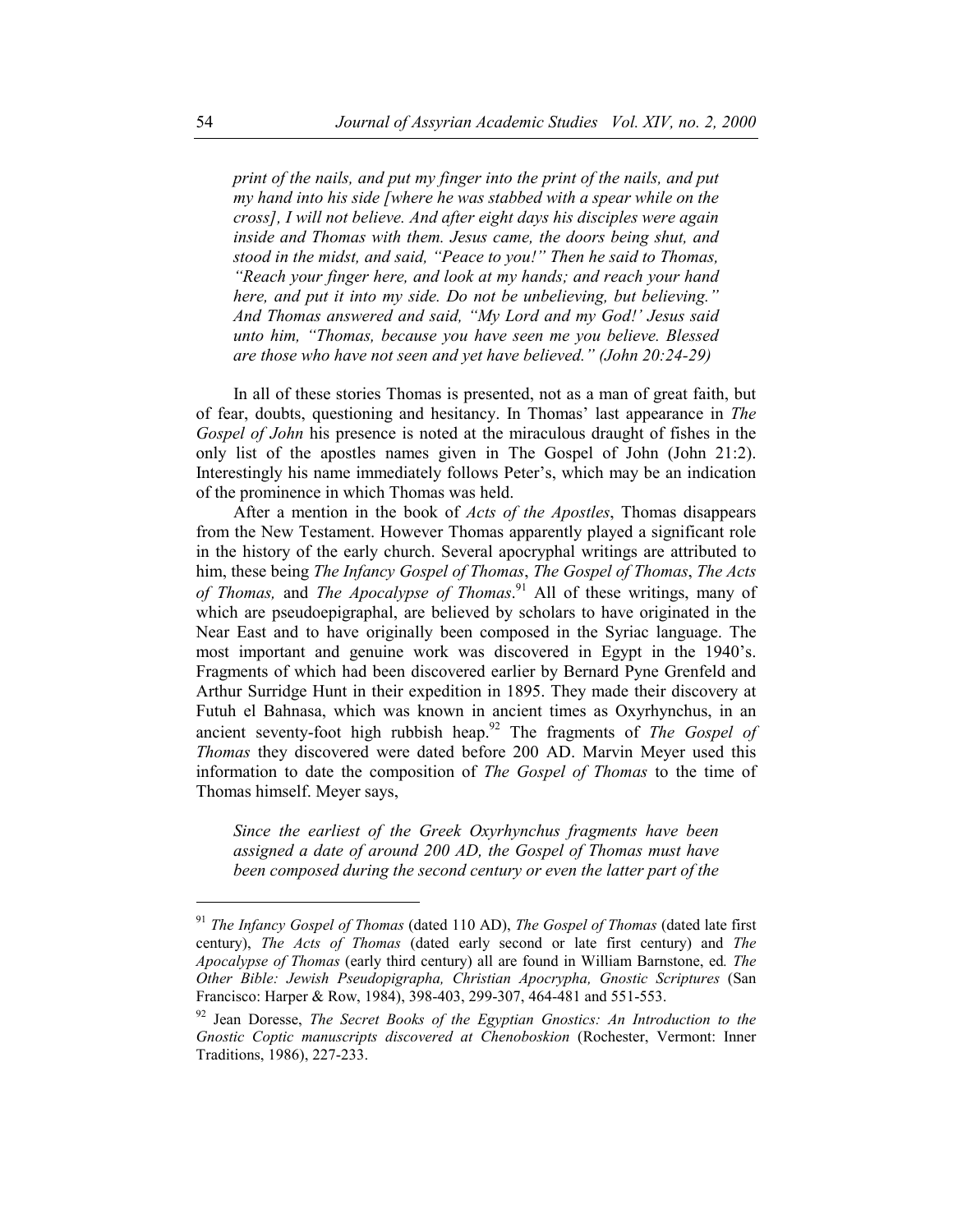*print of the nails, and put my finger into the print of the nails, and put my hand into his side [where he was stabbed with a spear while on the cross], I will not believe. And after eight days his disciples were again inside and Thomas with them. Jesus came, the doors being shut, and stood in the midst, and said, "Peace to you!" Then he said to Thomas, "Reach your finger here, and look at my hands; and reach your hand here, and put it into my side. Do not be unbelieving, but believing." And Thomas answered and said, "My Lord and my God!' Jesus said unto him, "Thomas, because you have seen me you believe. Blessed are those who have not seen and yet have believed." (John 20:24-29)* 

 In all of these stories Thomas is presented, not as a man of great faith, but of fear, doubts, questioning and hesitancy. In Thomas' last appearance in *The Gospel of John* his presence is noted at the miraculous draught of fishes in the only list of the apostles names given in The Gospel of John (John 21:2). Interestingly his name immediately follows Peter's, which may be an indication of the prominence in which Thomas was held.

After a mention in the book of *Acts of the Apostles*, Thomas disappears from the New Testament. However Thomas apparently played a significant role in the history of the early church. Several apocryphal writings are attributed to him, these being *The Infancy Gospel of Thomas*, *The Gospel of Thomas*, *The Acts of Thomas,* and *The Apocalypse of Thomas*. 91 All of these writings, many of which are pseudoepigraphal, are believed by scholars to have originated in the Near East and to have originally been composed in the Syriac language. The most important and genuine work was discovered in Egypt in the 1940's. Fragments of which had been discovered earlier by Bernard Pyne Grenfeld and Arthur Surridge Hunt in their expedition in 1895. They made their discovery at Futuh el Bahnasa, which was known in ancient times as Oxyrhynchus, in an ancient seventy-foot high rubbish heap.<sup>92</sup> The fragments of *The Gospel of Thomas* they discovered were dated before 200 AD. Marvin Meyer used this information to date the composition of *The Gospel of Thomas* to the time of Thomas himself. Meyer says,

*Since the earliest of the Greek Oxyrhynchus fragments have been assigned a date of around 200 AD, the Gospel of Thomas must have been composed during the second century or even the latter part of the* 

<sup>91</sup> *The Infancy Gospel of Thomas* (dated 110 AD), *The Gospel of Thomas* (dated late first century), *The Acts of Thomas* (dated early second or late first century) and *The Apocalypse of Thomas* (early third century) all are found in William Barnstone, ed*. The Other Bible: Jewish Pseudopigrapha, Christian Apocrypha, Gnostic Scriptures* (San Francisco: Harper & Row, 1984), 398-403, 299-307, 464-481 and 551-553.

<sup>92</sup> Jean Doresse, *The Secret Books of the Egyptian Gnostics: An Introduction to the Gnostic Coptic manuscripts discovered at Chenoboskion* (Rochester, Vermont: Inner Traditions, 1986), 227-233.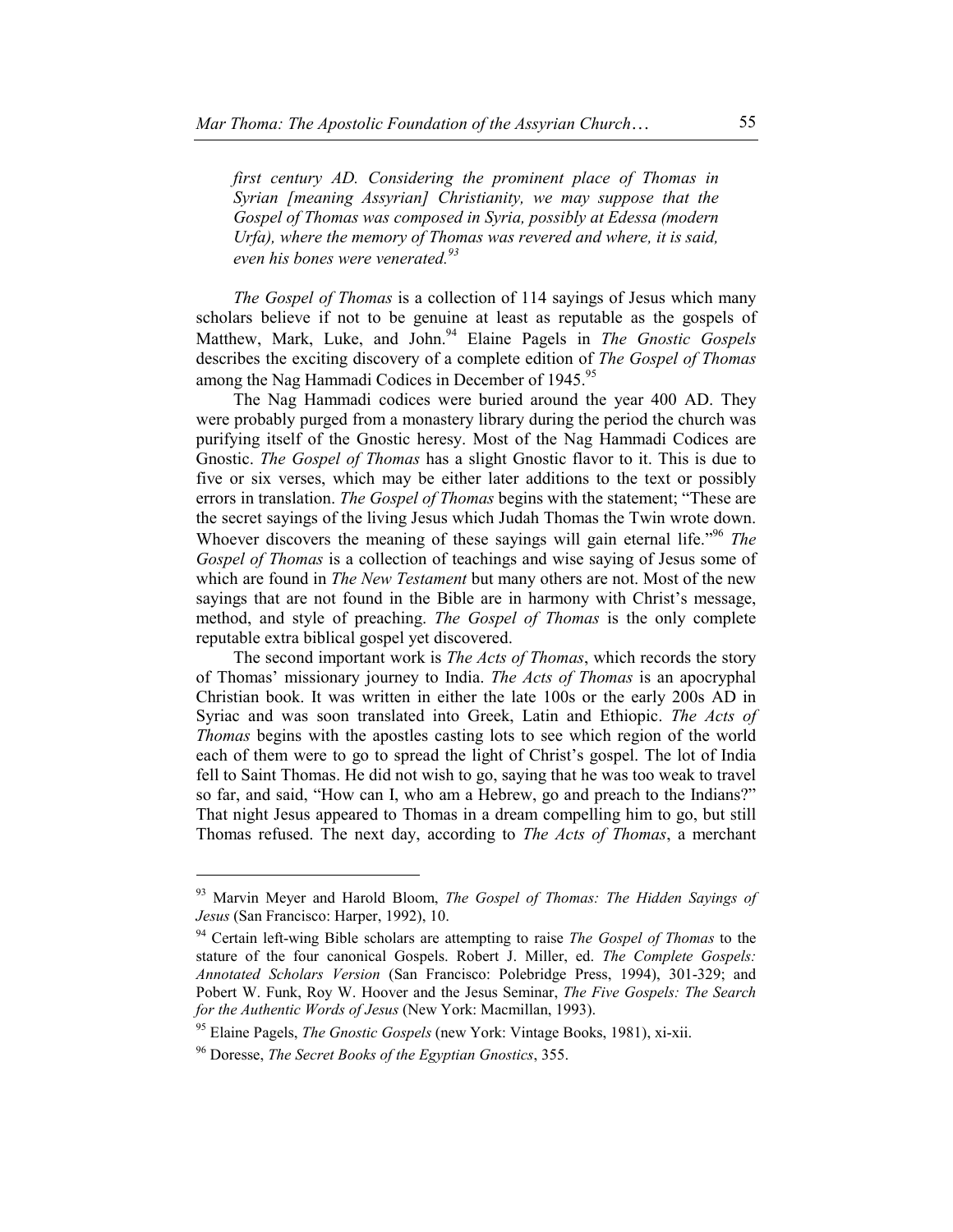*first century AD. Considering the prominent place of Thomas in Syrian [meaning Assyrian] Christianity, we may suppose that the Gospel of Thomas was composed in Syria, possibly at Edessa (modern Urfa), where the memory of Thomas was revered and where, it is said, even his bones were venerated.<sup>93</sup>*

*The Gospel of Thomas* is a collection of 114 sayings of Jesus which many scholars believe if not to be genuine at least as reputable as the gospels of Matthew, Mark, Luke, and John.<sup>94</sup> Elaine Pagels in *The Gnostic Gospels* describes the exciting discovery of a complete edition of *The Gospel of Thomas*  among the Nag Hammadi Codices in December of 1945.<sup>95</sup>

 The Nag Hammadi codices were buried around the year 400 AD. They were probably purged from a monastery library during the period the church was purifying itself of the Gnostic heresy. Most of the Nag Hammadi Codices are Gnostic. *The Gospel of Thomas* has a slight Gnostic flavor to it. This is due to five or six verses, which may be either later additions to the text or possibly errors in translation. *The Gospel of Thomas* begins with the statement; "These are the secret sayings of the living Jesus which Judah Thomas the Twin wrote down. Whoever discovers the meaning of these sayings will gain eternal life."96 *The Gospel of Thomas* is a collection of teachings and wise saying of Jesus some of which are found in *The New Testament* but many others are not. Most of the new sayings that are not found in the Bible are in harmony with Christ's message, method, and style of preaching. *The Gospel of Thomas* is the only complete reputable extra biblical gospel yet discovered.

 The second important work is *The Acts of Thomas*, which records the story of Thomas' missionary journey to India. *The Acts of Thomas* is an apocryphal Christian book. It was written in either the late 100s or the early 200s AD in Syriac and was soon translated into Greek, Latin and Ethiopic. *The Acts of Thomas* begins with the apostles casting lots to see which region of the world each of them were to go to spread the light of Christ's gospel. The lot of India fell to Saint Thomas. He did not wish to go, saying that he was too weak to travel so far, and said, "How can I, who am a Hebrew, go and preach to the Indians?" That night Jesus appeared to Thomas in a dream compelling him to go, but still Thomas refused. The next day, according to *The Acts of Thomas*, a merchant

<sup>&</sup>lt;sup>93</sup> Marvin Meyer and Harold Bloom, *The Gospel of Thomas: The Hidden Sayings of Jesus* (San Francisco: Harper, 1992), 10.

<sup>&</sup>lt;sup>94</sup> Certain left-wing Bible scholars are attempting to raise *The Gospel of Thomas* to the stature of the four canonical Gospels. Robert J. Miller, ed. *The Complete Gospels: Annotated Scholars Version* (San Francisco: Polebridge Press, 1994), 301-329; and Pobert W. Funk, Roy W. Hoover and the Jesus Seminar, *The Five Gospels: The Search for the Authentic Words of Jesus* (New York: Macmillan, 1993).<br><sup>95</sup> Elaine Pagels, *The Gnostic Gospels* (new York: Vintage Books, 1981), xi-xii.<br><sup>96</sup> Doresse, *The Secret Books of the Egyptian Gnostics*, 355.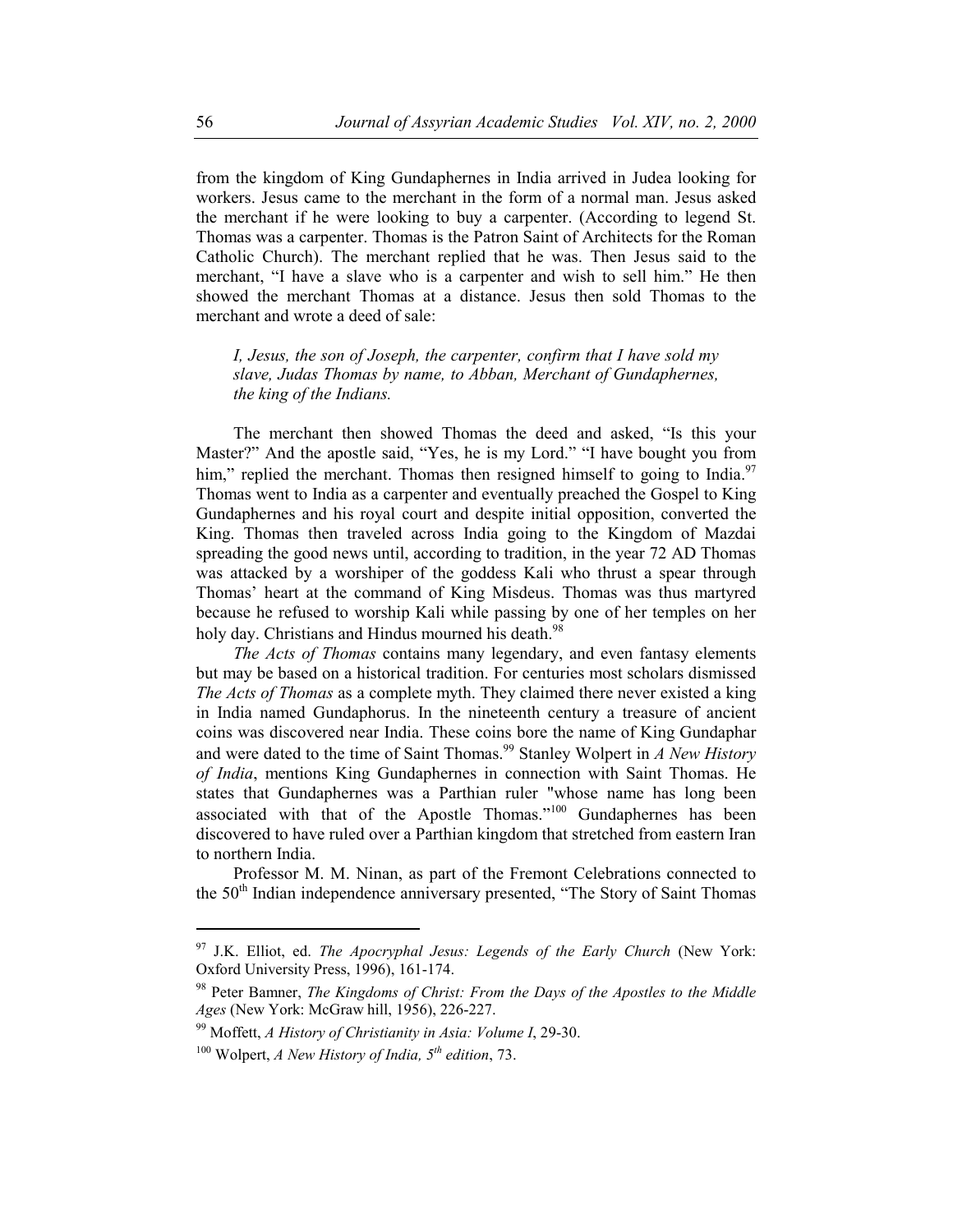from the kingdom of King Gundaphernes in India arrived in Judea looking for workers. Jesus came to the merchant in the form of a normal man. Jesus asked the merchant if he were looking to buy a carpenter. (According to legend St. Thomas was a carpenter. Thomas is the Patron Saint of Architects for the Roman Catholic Church). The merchant replied that he was. Then Jesus said to the merchant, "I have a slave who is a carpenter and wish to sell him." He then showed the merchant Thomas at a distance. Jesus then sold Thomas to the merchant and wrote a deed of sale:

*I, Jesus, the son of Joseph, the carpenter, confirm that I have sold my slave, Judas Thomas by name, to Abban, Merchant of Gundaphernes, the king of the Indians.* 

 The merchant then showed Thomas the deed and asked, "Is this your Master?" And the apostle said, "Yes, he is my Lord." "I have bought you from him," replied the merchant. Thomas then resigned himself to going to India.<sup>97</sup> Thomas went to India as a carpenter and eventually preached the Gospel to King Gundaphernes and his royal court and despite initial opposition, converted the King. Thomas then traveled across India going to the Kingdom of Mazdai spreading the good news until, according to tradition, in the year 72 AD Thomas was attacked by a worshiper of the goddess Kali who thrust a spear through Thomas' heart at the command of King Misdeus. Thomas was thus martyred because he refused to worship Kali while passing by one of her temples on her holy day. Christians and Hindus mourned his death.<sup>98</sup>

*The Acts of Thomas* contains many legendary, and even fantasy elements but may be based on a historical tradition. For centuries most scholars dismissed *The Acts of Thomas* as a complete myth. They claimed there never existed a king in India named Gundaphorus. In the nineteenth century a treasure of ancient coins was discovered near India. These coins bore the name of King Gundaphar and were dated to the time of Saint Thomas.<sup>99</sup> Stanley Wolpert in *A New History of India*, mentions King Gundaphernes in connection with Saint Thomas. He states that Gundaphernes was a Parthian ruler "whose name has long been associated with that of the Apostle Thomas."<sup>100</sup> Gundaphernes has been discovered to have ruled over a Parthian kingdom that stretched from eastern Iran to northern India.

 Professor M. M. Ninan, as part of the Fremont Celebrations connected to the 50<sup>th</sup> Indian independence anniversary presented, "The Story of Saint Thomas

<sup>97</sup> J.K. Elliot, ed. *The Apocryphal Jesus: Legends of the Early Church* (New York: Oxford University Press, 1996), 161-174.

<sup>&</sup>lt;sup>98</sup> Peter Bamner, *The Kingdoms of Christ: From the Days of the Apostles to the Middle Ages* (New York: McGraw hill, 1956), 226-227.

<sup>&</sup>lt;sup>99</sup> Moffett, *A History of Christianity in Asia: Volume I*, 29-30. <sup>100</sup> Wolpert, *A New History of India, 5<sup>th</sup> edition*, 73.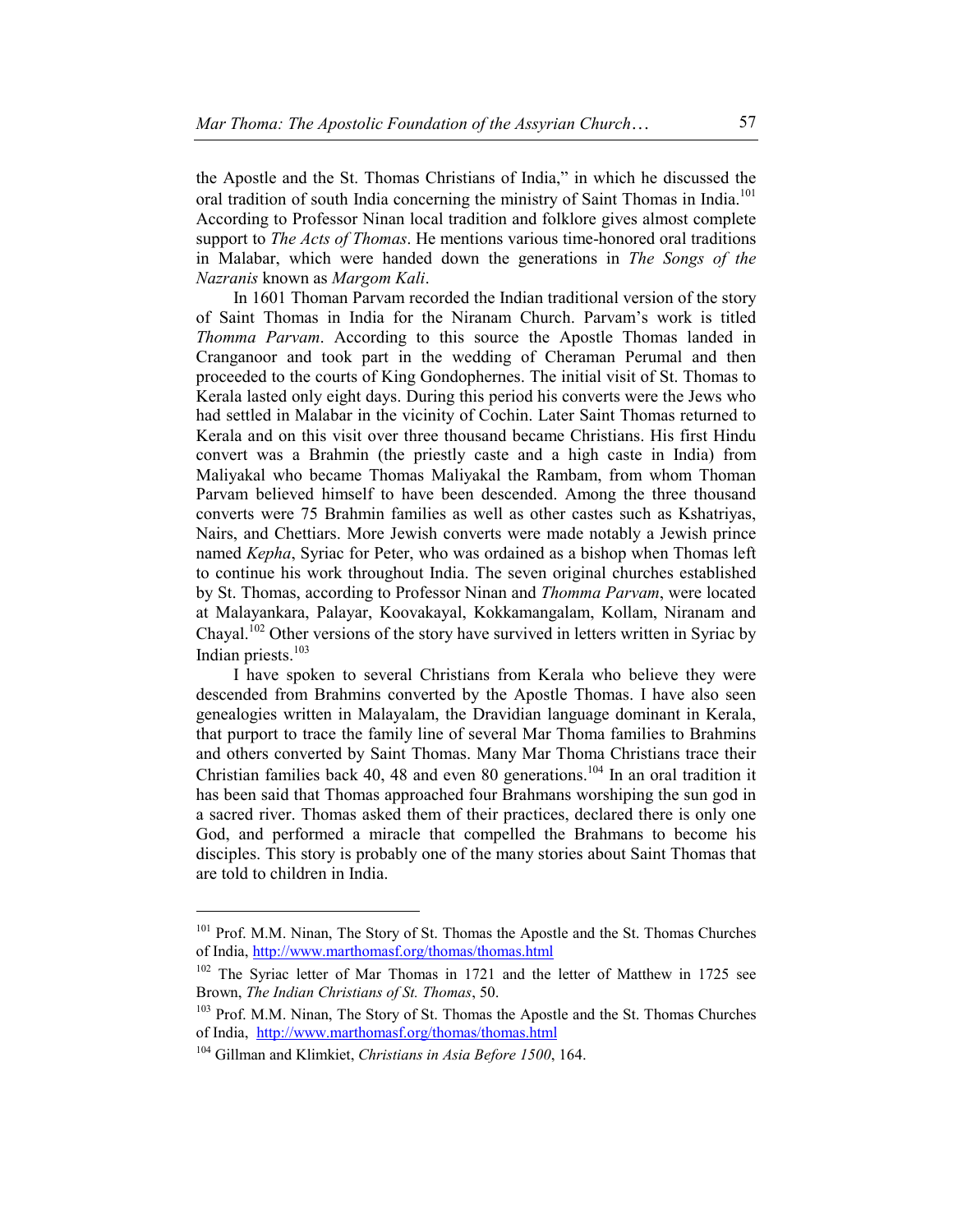the Apostle and the St. Thomas Christians of India," in which he discussed the oral tradition of south India concerning the ministry of Saint Thomas in India.<sup>101</sup> According to Professor Ninan local tradition and folklore gives almost complete support to *The Acts of Thomas*. He mentions various time-honored oral traditions in Malabar, which were handed down the generations in *The Songs of the Nazranis* known as *Margom Kali*.

 In 1601 Thoman Parvam recorded the Indian traditional version of the story of Saint Thomas in India for the Niranam Church. Parvam's work is titled *Thomma Parvam*. According to this source the Apostle Thomas landed in Cranganoor and took part in the wedding of Cheraman Perumal and then proceeded to the courts of King Gondophernes. The initial visit of St. Thomas to Kerala lasted only eight days. During this period his converts were the Jews who had settled in Malabar in the vicinity of Cochin. Later Saint Thomas returned to Kerala and on this visit over three thousand became Christians. His first Hindu convert was a Brahmin (the priestly caste and a high caste in India) from Maliyakal who became Thomas Maliyakal the Rambam, from whom Thoman Parvam believed himself to have been descended. Among the three thousand converts were 75 Brahmin families as well as other castes such as Kshatriyas, Nairs, and Chettiars. More Jewish converts were made notably a Jewish prince named *Kepha*, Syriac for Peter, who was ordained as a bishop when Thomas left to continue his work throughout India. The seven original churches established by St. Thomas, according to Professor Ninan and *Thomma Parvam*, were located at Malayankara, Palayar, Koovakayal, Kokkamangalam, Kollam, Niranam and Chayal.<sup>102</sup> Other versions of the story have survived in letters written in Syriac by Indian priests.<sup>103</sup>

I have spoken to several Christians from Kerala who believe they were descended from Brahmins converted by the Apostle Thomas. I have also seen genealogies written in Malayalam, the Dravidian language dominant in Kerala, that purport to trace the family line of several Mar Thoma families to Brahmins and others converted by Saint Thomas. Many Mar Thoma Christians trace their Christian families back 40, 48 and even 80 generations.<sup>104</sup> In an oral tradition it has been said that Thomas approached four Brahmans worshiping the sun god in a sacred river. Thomas asked them of their practices, declared there is only one God, and performed a miracle that compelled the Brahmans to become his disciples. This story is probably one of the many stories about Saint Thomas that are told to children in India.

<sup>&</sup>lt;sup>101</sup> Prof. M.M. Ninan, The Story of St. Thomas the Apostle and the St. Thomas Churches of India, http://www.marthomasf.org/thomas/thomas.html

<sup>&</sup>lt;sup>102</sup> The Syriac letter of Mar Thomas in 1721 and the letter of Matthew in 1725 see Brown, *The Indian Christians of St. Thomas*, 50.

<sup>&</sup>lt;sup>103</sup> Prof. M.M. Ninan, The Story of St. Thomas the Apostle and the St. Thomas Churches of India, http://www.marthomasf.org/thomas/thomas.html

<sup>104</sup> Gillman and Klimkiet, *Christians in Asia Before 1500*, 164.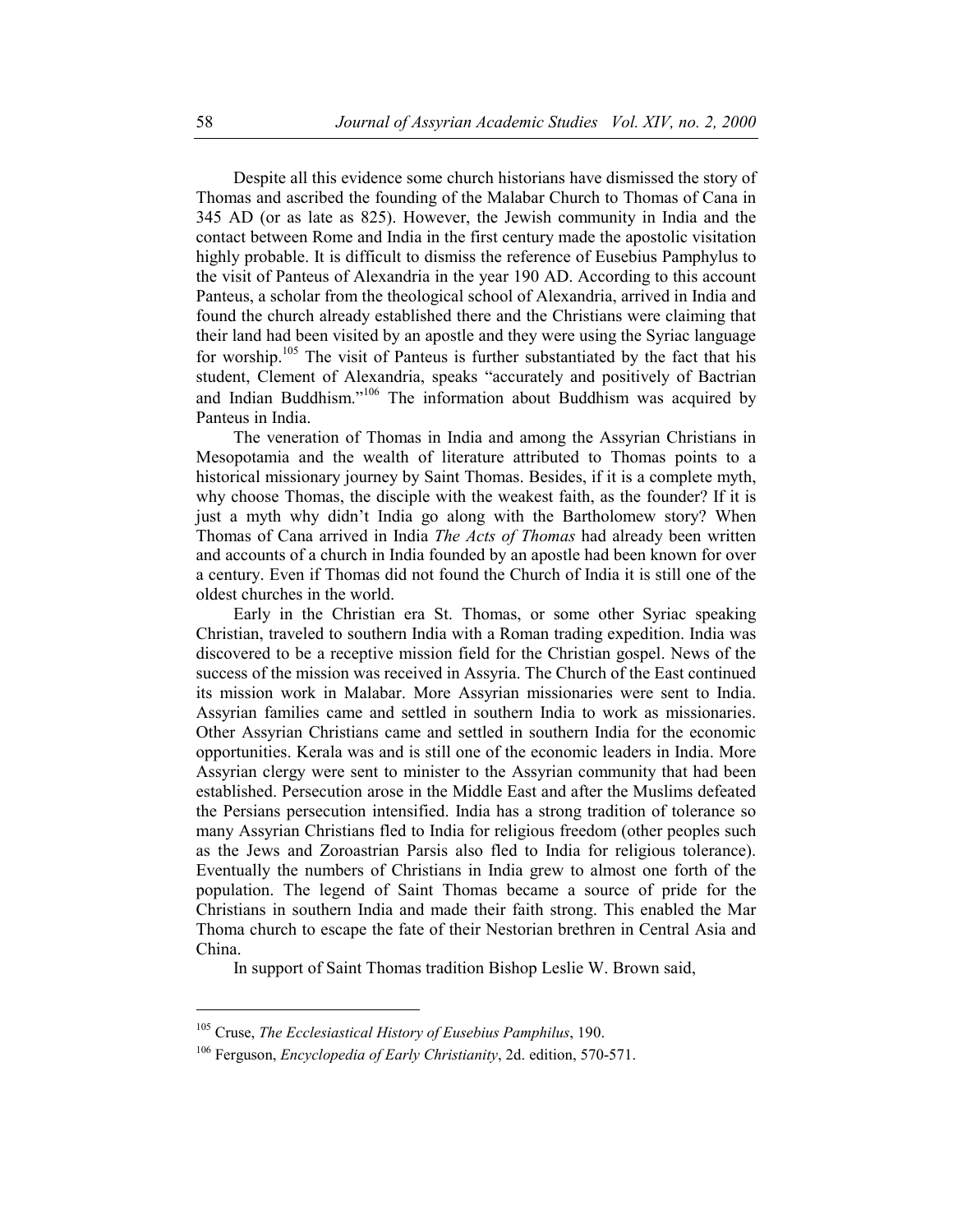Despite all this evidence some church historians have dismissed the story of Thomas and ascribed the founding of the Malabar Church to Thomas of Cana in 345 AD (or as late as 825). However, the Jewish community in India and the contact between Rome and India in the first century made the apostolic visitation highly probable. It is difficult to dismiss the reference of Eusebius Pamphylus to the visit of Panteus of Alexandria in the year 190 AD. According to this account Panteus, a scholar from the theological school of Alexandria, arrived in India and found the church already established there and the Christians were claiming that their land had been visited by an apostle and they were using the Syriac language for worship.<sup>105</sup> The visit of Panteus is further substantiated by the fact that his student, Clement of Alexandria, speaks "accurately and positively of Bactrian and Indian Buddhism."<sup>106</sup> The information about Buddhism was acquired by Panteus in India.

 The veneration of Thomas in India and among the Assyrian Christians in Mesopotamia and the wealth of literature attributed to Thomas points to a historical missionary journey by Saint Thomas. Besides, if it is a complete myth, why choose Thomas, the disciple with the weakest faith, as the founder? If it is just a myth why didn't India go along with the Bartholomew story? When Thomas of Cana arrived in India *The Acts of Thomas* had already been written and accounts of a church in India founded by an apostle had been known for over a century. Even if Thomas did not found the Church of India it is still one of the oldest churches in the world.

Early in the Christian era St. Thomas, or some other Syriac speaking Christian, traveled to southern India with a Roman trading expedition. India was discovered to be a receptive mission field for the Christian gospel. News of the success of the mission was received in Assyria. The Church of the East continued its mission work in Malabar. More Assyrian missionaries were sent to India. Assyrian families came and settled in southern India to work as missionaries. Other Assyrian Christians came and settled in southern India for the economic opportunities. Kerala was and is still one of the economic leaders in India. More Assyrian clergy were sent to minister to the Assyrian community that had been established. Persecution arose in the Middle East and after the Muslims defeated the Persians persecution intensified. India has a strong tradition of tolerance so many Assyrian Christians fled to India for religious freedom (other peoples such as the Jews and Zoroastrian Parsis also fled to India for religious tolerance). Eventually the numbers of Christians in India grew to almost one forth of the population. The legend of Saint Thomas became a source of pride for the Christians in southern India and made their faith strong. This enabled the Mar Thoma church to escape the fate of their Nestorian brethren in Central Asia and China.

In support of Saint Thomas tradition Bishop Leslie W. Brown said,

<sup>&</sup>lt;sup>105</sup> Cruse, *The Ecclesiastical History of Eusebius Pamphilus*, 190.<br><sup>106</sup> Ferguson, *Encyclopedia of Early Christianity*, 2d. edition, 570-571.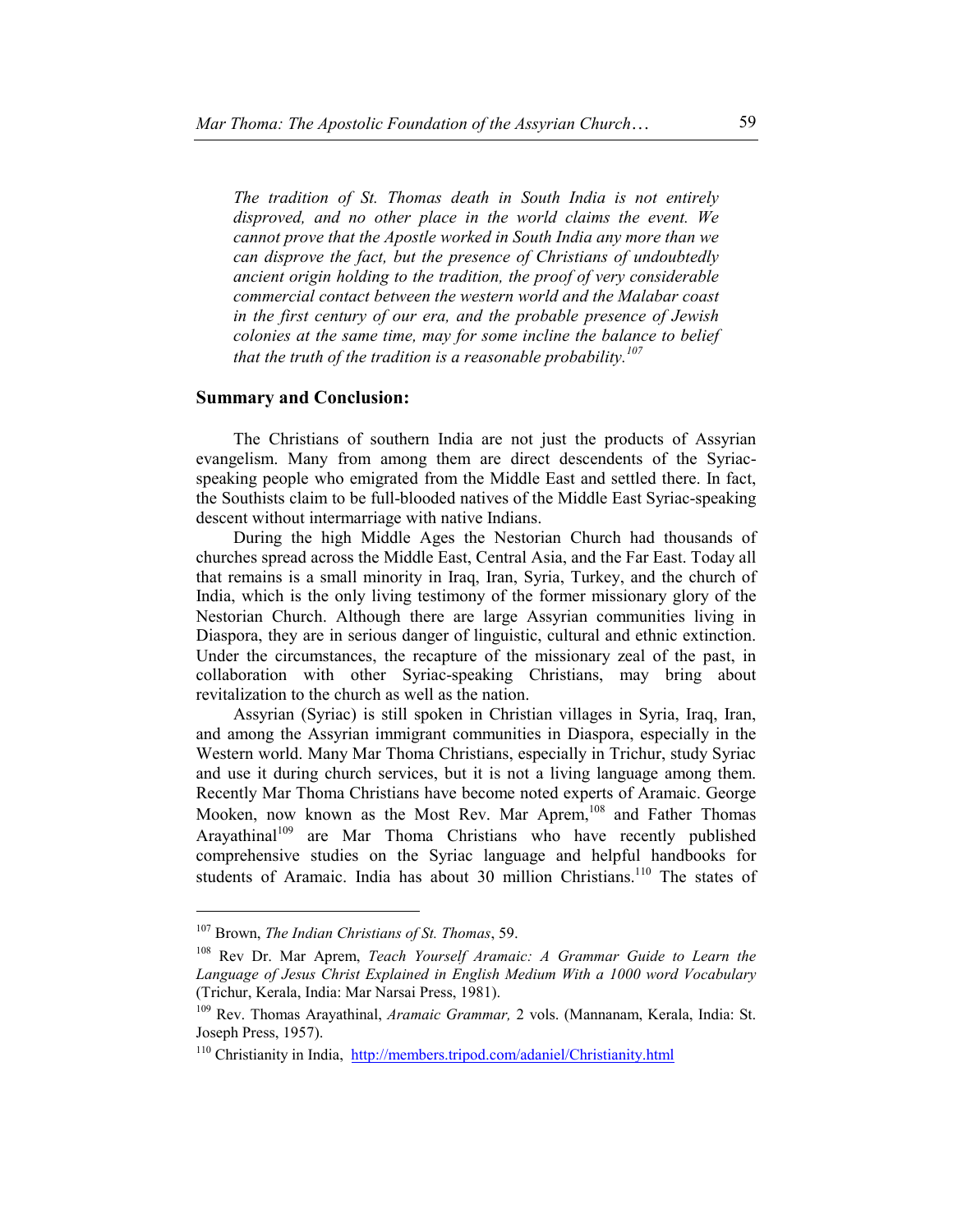*The tradition of St. Thomas death in South India is not entirely disproved, and no other place in the world claims the event. We cannot prove that the Apostle worked in South India any more than we can disprove the fact, but the presence of Christians of undoubtedly ancient origin holding to the tradition, the proof of very considerable commercial contact between the western world and the Malabar coast in the first century of our era, and the probable presence of Jewish colonies at the same time, may for some incline the balance to belief that the truth of the tradition is a reasonable probability.107* 

#### **Summary and Conclusion:**

The Christians of southern India are not just the products of Assyrian evangelism. Many from among them are direct descendents of the Syriacspeaking people who emigrated from the Middle East and settled there. In fact, the Southists claim to be full-blooded natives of the Middle East Syriac-speaking descent without intermarriage with native Indians.

During the high Middle Ages the Nestorian Church had thousands of churches spread across the Middle East, Central Asia, and the Far East. Today all that remains is a small minority in Iraq, Iran, Syria, Turkey, and the church of India, which is the only living testimony of the former missionary glory of the Nestorian Church. Although there are large Assyrian communities living in Diaspora, they are in serious danger of linguistic, cultural and ethnic extinction. Under the circumstances, the recapture of the missionary zeal of the past, in collaboration with other Syriac-speaking Christians, may bring about revitalization to the church as well as the nation.

 Assyrian (Syriac) is still spoken in Christian villages in Syria, Iraq, Iran, and among the Assyrian immigrant communities in Diaspora, especially in the Western world. Many Mar Thoma Christians, especially in Trichur, study Syriac and use it during church services, but it is not a living language among them. Recently Mar Thoma Christians have become noted experts of Aramaic. George Mooken, now known as the Most Rev. Mar Aprem,<sup>108</sup> and Father Thomas Arayathinal<sup>109</sup> are Mar Thoma Christians who have recently published comprehensive studies on the Syriac language and helpful handbooks for students of Aramaic. India has about 30 million Christians.<sup>110</sup> The states of

<sup>&</sup>lt;sup>107</sup> Brown, *The Indian Christians of St. Thomas*, 59.<br><sup>108</sup> Rev Dr. Mar Aprem, *Teach Yourself Aramaic: A Grammar Guide to Learn the Language of Jesus Christ Explained in English Medium With a 1000 word Vocabulary* (Trichur, Kerala, India: Mar Narsai Press, 1981).

<sup>109</sup> Rev. Thomas Arayathinal, *Aramaic Grammar,* 2 vols. (Mannanam, Kerala, India: St. Joseph Press, 1957).

<sup>110</sup> Christianity in India, http://members.tripod.com/adaniel/Christianity.html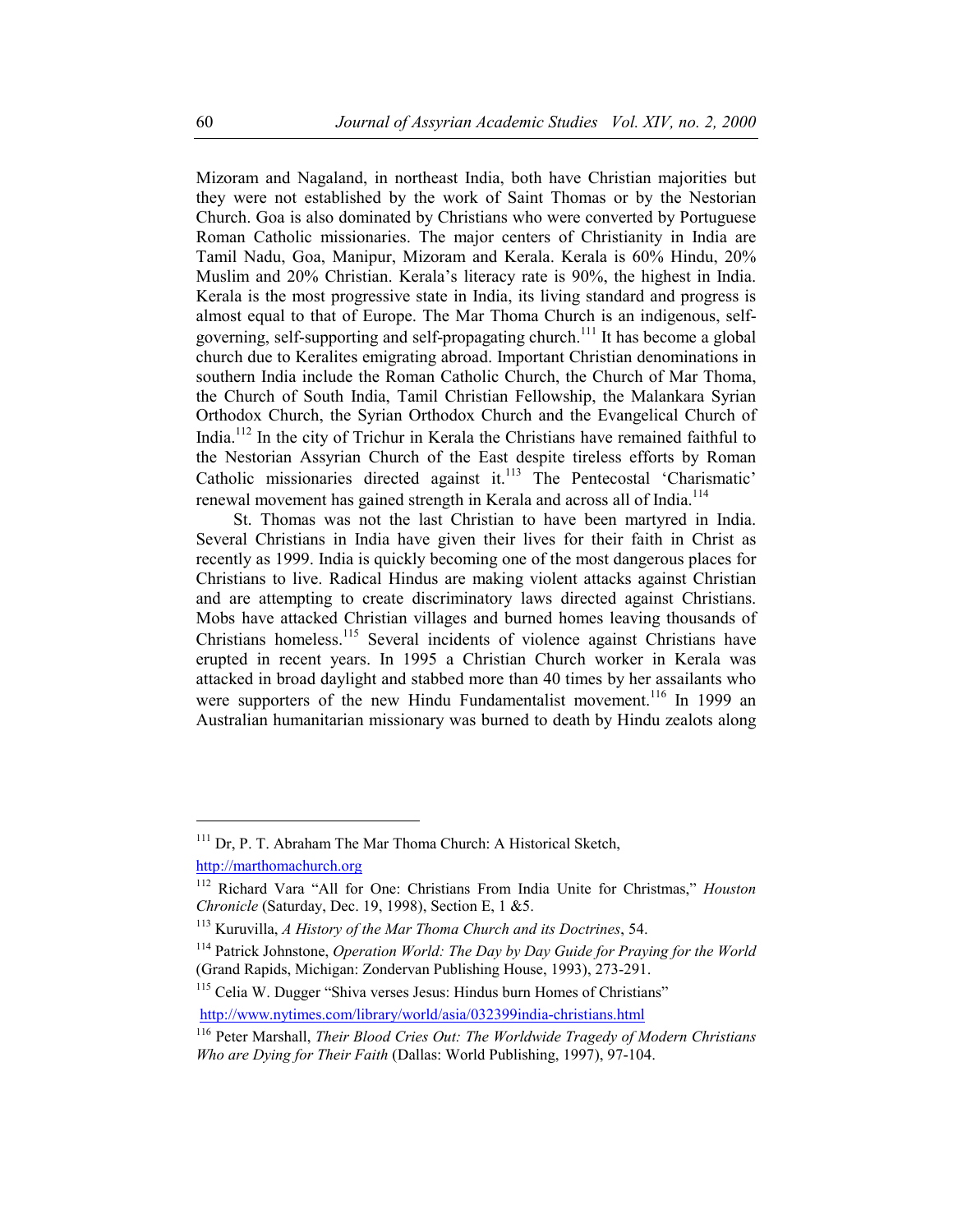Mizoram and Nagaland, in northeast India, both have Christian majorities but they were not established by the work of Saint Thomas or by the Nestorian Church. Goa is also dominated by Christians who were converted by Portuguese Roman Catholic missionaries. The major centers of Christianity in India are Tamil Nadu, Goa, Manipur, Mizoram and Kerala. Kerala is 60% Hindu, 20% Muslim and 20% Christian. Kerala's literacy rate is 90%, the highest in India. Kerala is the most progressive state in India, its living standard and progress is almost equal to that of Europe. The Mar Thoma Church is an indigenous, selfgoverning, self-supporting and self-propagating church.<sup>111</sup> It has become a global church due to Keralites emigrating abroad. Important Christian denominations in southern India include the Roman Catholic Church, the Church of Mar Thoma, the Church of South India, Tamil Christian Fellowship, the Malankara Syrian Orthodox Church, the Syrian Orthodox Church and the Evangelical Church of India.112 In the city of Trichur in Kerala the Christians have remained faithful to the Nestorian Assyrian Church of the East despite tireless efforts by Roman Catholic missionaries directed against it.<sup>113</sup> The Pentecostal 'Charismatic' renewal movement has gained strength in Kerala and across all of India.<sup>114</sup>

 St. Thomas was not the last Christian to have been martyred in India. Several Christians in India have given their lives for their faith in Christ as recently as 1999. India is quickly becoming one of the most dangerous places for Christians to live. Radical Hindus are making violent attacks against Christian and are attempting to create discriminatory laws directed against Christians. Mobs have attacked Christian villages and burned homes leaving thousands of Christians homeless.<sup>115</sup> Several incidents of violence against Christians have erupted in recent years. In 1995 a Christian Church worker in Kerala was attacked in broad daylight and stabbed more than 40 times by her assailants who were supporters of the new Hindu Fundamentalist movement.<sup>116</sup> In 1999 an Australian humanitarian missionary was burned to death by Hindu zealots along

 $\overline{a}$ 

http://www.nytimes.com/library/world/asia/032399india-christians.html

<sup>&</sup>lt;sup>111</sup> Dr, P. T. Abraham The Mar Thoma Church: A Historical Sketch.

http://marthomachurch.org

<sup>&</sup>lt;sup>112</sup> Richard Vara "All for One: Christians From India Unite for Christmas," *Houston Chronicle* (Saturday, Dec. 19, 1998), Section E, 1 &5.

<sup>&</sup>lt;sup>113</sup> Kuruvilla, *A History of the Mar Thoma Church and its Doctrines*, 54.<br><sup>114</sup> Patrick Johnstone, *Operation World: The Day by Day Guide for Praying for the World* (Grand Rapids, Michigan: Zondervan Publishing House, 1993), 273-291.

<sup>115</sup> Celia W. Dugger "Shiva verses Jesus: Hindus burn Homes of Christians"

<sup>116</sup> Peter Marshall, *Their Blood Cries Out: The Worldwide Tragedy of Modern Christians Who are Dying for Their Faith* (Dallas: World Publishing, 1997), 97-104.